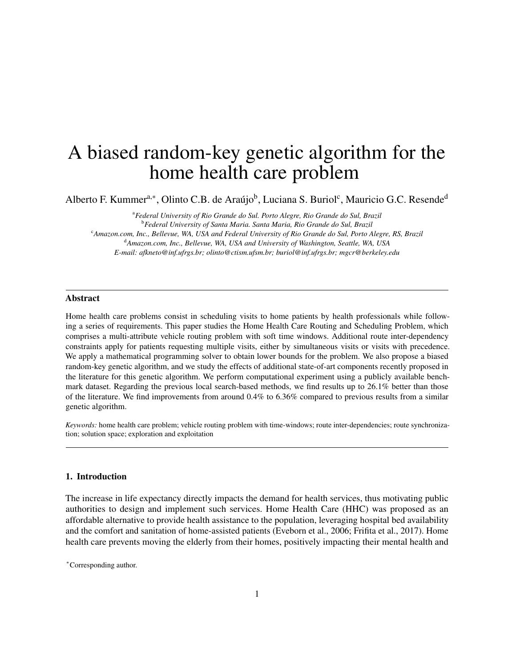# A biased random-key genetic algorithm for the home health care problem

Alberto F. Kummer<sup>a,\*</sup>, Olinto C.B. de Araújo<sup>b</sup>, Luciana S. Buriol<sup>c</sup>, Mauricio G.C. Resende<sup>d</sup>

<sup>a</sup>*Federal University of Rio Grande do Sul. Porto Alegre, Rio Grande do Sul, Brazil* <sup>b</sup>*Federal University of Santa Maria. Santa Maria, Rio Grande do Sul, Brazil* <sup>c</sup>*Amazon.com, Inc., Bellevue, WA, USA and Federal University of Rio Grande do Sul, Porto Alegre, RS, Brazil* <sup>d</sup>*Amazon.com, Inc., Bellevue, WA, USA and University of Washington, Seattle, WA, USA E-mail: afkneto@inf.ufrgs.br; olinto@ctism.ufsm.br; buriol@inf.ufrgs.br; mgcr@berkeley.edu*

## Abstract

Home health care problems consist in scheduling visits to home patients by health professionals while following a series of requirements. This paper studies the Home Health Care Routing and Scheduling Problem, which comprises a multi-attribute vehicle routing problem with soft time windows. Additional route inter-dependency constraints apply for patients requesting multiple visits, either by simultaneous visits or visits with precedence. We apply a mathematical programming solver to obtain lower bounds for the problem. We also propose a biased random-key genetic algorithm, and we study the effects of additional state-of-art components recently proposed in the literature for this genetic algorithm. We perform computational experiment using a publicly available benchmark dataset. Regarding the previous local search-based methods, we find results up to 26.1% better than those of the literature. We find improvements from around 0.4% to 6.36% compared to previous results from a similar genetic algorithm.

*Keywords:* home health care problem; vehicle routing problem with time-windows; route inter-dependencies; route synchronization; solution space; exploration and exploitation

# 1. Introduction

The increase in life expectancy directly impacts the demand for health services, thus motivating public authorities to design and implement such services. Home Health Care (HHC) was proposed as an affordable alternative to provide health assistance to the population, leveraging hospital bed availability and the comfort and sanitation of home-assisted patients [\(Eveborn et al., 2006;](#page-29-0) [Frifita et al., 2017\)](#page-30-0). Home health care prevents moving the elderly from their homes, positively impacting their mental health and

<sup>∗</sup>Corresponding author.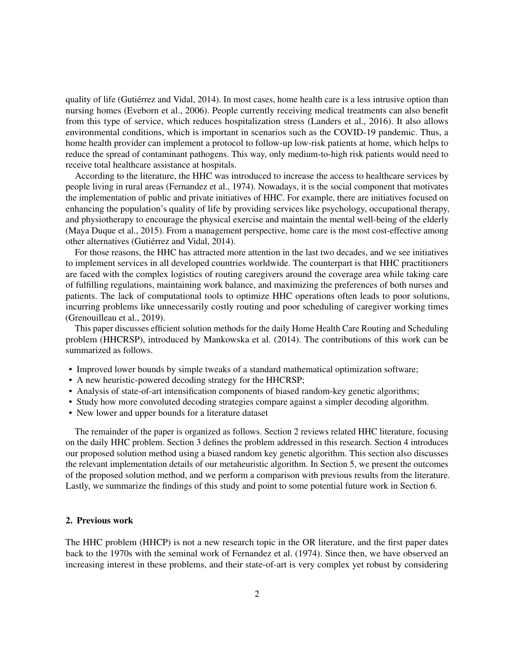quality of life [\(Gutiérrez and Vidal, 2014\)](#page-30-1). In most cases, home health care is a less intrusive option than nursing homes [\(Eveborn et al., 2006\)](#page-29-0). People currently receiving medical treatments can also benefit from this type of service, which reduces hospitalization stress [\(Landers et al., 2016\)](#page-30-2). It also allows environmental conditions, which is important in scenarios such as the COVID-19 pandemic. Thus, a home health provider can implement a protocol to follow-up low-risk patients at home, which helps to reduce the spread of contaminant pathogens. This way, only medium-to-high risk patients would need to receive total healthcare assistance at hospitals.

According to the literature, the HHC was introduced to increase the access to healthcare services by people living in rural areas [\(Fernandez et al., 1974\)](#page-29-1). Nowadays, it is the social component that motivates the implementation of public and private initiatives of HHC. For example, there are initiatives focused on enhancing the population's quality of life by providing services like psychology, occupational therapy, and physiotherapy to encourage the physical exercise and maintain the mental well-being of the elderly [\(Maya Duque et al., 2015\)](#page-30-3). From a management perspective, home care is the most cost-effective among other alternatives [\(Gutiérrez and Vidal, 2014\)](#page-30-1).

For those reasons, the HHC has attracted more attention in the last two decades, and we see initiatives to implement services in all developed countries worldwide. The counterpart is that HHC practitioners are faced with the complex logistics of routing caregivers around the coverage area while taking care of fulfilling regulations, maintaining work balance, and maximizing the preferences of both nurses and patients. The lack of computational tools to optimize HHC operations often leads to poor solutions, incurring problems like unnecessarily costly routing and poor scheduling of caregiver working times [\(Grenouilleau et al., 2019\)](#page-30-4).

This paper discusses efficient solution methods for the daily Home Health Care Routing and Scheduling problem (HHCRSP), introduced by [Mankowska et al.](#page-30-5) [\(2014\)](#page-30-5). The contributions of this work can be summarized as follows.

- Improved lower bounds by simple tweaks of a standard mathematical optimization software;
- A new heuristic-powered decoding strategy for the HHCRSP;
- Analysis of state-of-art intensification components of biased random-key genetic algorithms;
- Study how more convoluted decoding strategies compare against a simpler decoding algorithm.
- New lower and upper bounds for a literature dataset

The remainder of the paper is organized as follows. Section [2](#page-1-0) reviews related HHC literature, focusing on the daily HHC problem. Section [3](#page-4-0) defines the problem addressed in this research. Section [4](#page-7-0) introduces our proposed solution method using a biased random key genetic algorithm. This section also discusses the relevant implementation details of our metaheuristic algorithm. In Section [5,](#page-13-0) we present the outcomes of the proposed solution method, and we perform a comparison with previous results from the literature. Lastly, we summarize the findings of this study and point to some potential future work in Section [6.](#page-28-0)

# <span id="page-1-0"></span>2. Previous work

The HHC problem (HHCP) is not a new research topic in the OR literature, and the first paper dates back to the 1970s with the seminal work of [Fernandez et al.](#page-29-1) [\(1974\)](#page-29-1). Since then, we have observed an increasing interest in these problems, and their state-of-art is very complex yet robust by considering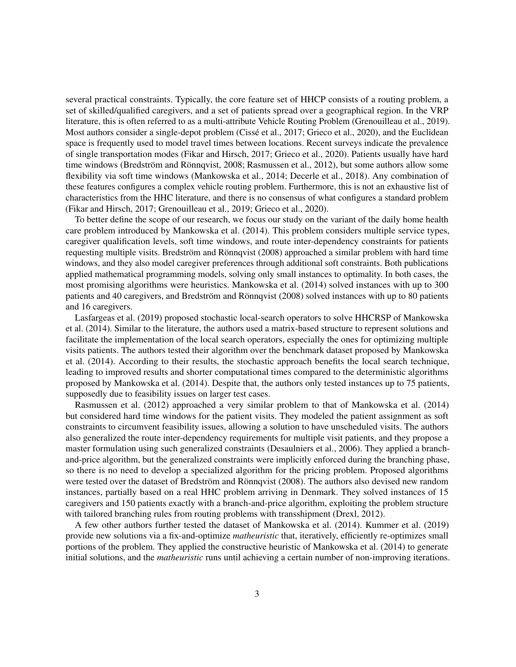several practical constraints. Typically, the core feature set of HHCP consists of a routing problem, a set of skilled/qualified caregivers, and a set of patients spread over a geographical region. In the VRP literature, this is often referred to as a multi-attribute Vehicle Routing Problem [\(Grenouilleau et al., 2019\)](#page-30-4). Most authors consider a single-depot problem [\(Cissé et al., 2017;](#page-29-2) [Grieco et al., 2020\)](#page-30-6), and the Euclidean space is frequently used to model travel times between locations. Recent surveys indicate the prevalence of single transportation modes [\(Fikar and Hirsch, 2017;](#page-30-7) [Grieco et al., 2020\)](#page-30-6). Patients usually have hard time windows [\(Bredström and Rönnqvist, 2008;](#page-29-3) [Rasmussen et al., 2012\)](#page-30-8), but some authors allow some flexibility via soft time windows [\(Mankowska et al., 2014;](#page-30-5) [Decerle et al., 2018\)](#page-29-4). Any combination of these features configures a complex vehicle routing problem. Furthermore, this is not an exhaustive list of characteristics from the HHC literature, and there is no consensus of what configures a standard problem [\(Fikar and Hirsch, 2017;](#page-30-7) [Grenouilleau et al., 2019;](#page-30-4) [Grieco et al., 2020\)](#page-30-6).

To better define the scope of our research, we focus our study on the variant of the daily home health care problem introduced by [Mankowska et al.](#page-30-5) [\(2014\)](#page-30-5). This problem considers multiple service types, caregiver qualification levels, soft time windows, and route inter-dependency constraints for patients requesting multiple visits. [Bredström and Rönnqvist](#page-29-3) [\(2008\)](#page-29-3) approached a similar problem with hard time windows, and they also model caregiver preferences through additional soft constraints. Both publications applied mathematical programming models, solving only small instances to optimality. In both cases, the most promising algorithms were heuristics. [Mankowska et al.](#page-30-5) [\(2014\)](#page-30-5) solved instances with up to 300 patients and 40 caregivers, and [Bredström and Rönnqvist](#page-29-3) [\(2008\)](#page-29-3) solved instances with up to 80 patients and 16 caregivers.

[Lasfargeas et al.](#page-30-9) [\(2019\)](#page-30-9) proposed stochastic local-search operators to solve HHCRSP of [Mankowska](#page-30-5) [et al.](#page-30-5) [\(2014\)](#page-30-5). Similar to the literature, the authors used a matrix-based structure to represent solutions and facilitate the implementation of the local search operators, especially the ones for optimizing multiple visits patients. The authors tested their algorithm over the benchmark dataset proposed by [Mankowska](#page-30-5) [et al.](#page-30-5) [\(2014\)](#page-30-5). According to their results, the stochastic approach benefits the local search technique, leading to improved results and shorter computational times compared to the deterministic algorithms proposed by [Mankowska et al.](#page-30-5) [\(2014\)](#page-30-5). Despite that, the authors only tested instances up to 75 patients, supposedly due to feasibility issues on larger test cases.

[Rasmussen et al.](#page-30-8) [\(2012\)](#page-30-8) approached a very similar problem to that of [Mankowska et al.](#page-30-5) [\(2014\)](#page-30-5) but considered hard time windows for the patient visits. They modeled the patient assignment as soft constraints to circumvent feasibility issues, allowing a solution to have unscheduled visits. The authors also generalized the route inter-dependency requirements for multiple visit patients, and they propose a master formulation using such generalized constraints [\(Desaulniers et al., 2006\)](#page-29-5). They applied a branchand-price algorithm, but the generalized constraints were implicitly enforced during the branching phase, so there is no need to develop a specialized algorithm for the pricing problem. Proposed algorithms were tested over the dataset of [Bredström and Rönnqvist](#page-29-3) [\(2008\)](#page-29-3). The authors also devised new random instances, partially based on a real HHC problem arriving in Denmark. They solved instances of 15 caregivers and 150 patients exactly with a branch-and-price algorithm, exploiting the problem structure with tailored branching rules from routing problems with transshipment [\(Drexl, 2012\)](#page-29-6).

A few other authors further tested the dataset of [Mankowska et al.](#page-30-5) [\(2014\)](#page-30-5). [Kummer et al.](#page-30-10) [\(2019\)](#page-30-10) provide new solutions via a fix-and-optimize *matheuristic* that, iteratively, efficiently re-optimizes small portions of the problem. They applied the constructive heuristic of [Mankowska et al.](#page-30-5) [\(2014\)](#page-30-5) to generate initial solutions, and the *matheuristic* runs until achieving a certain number of non-improving iterations.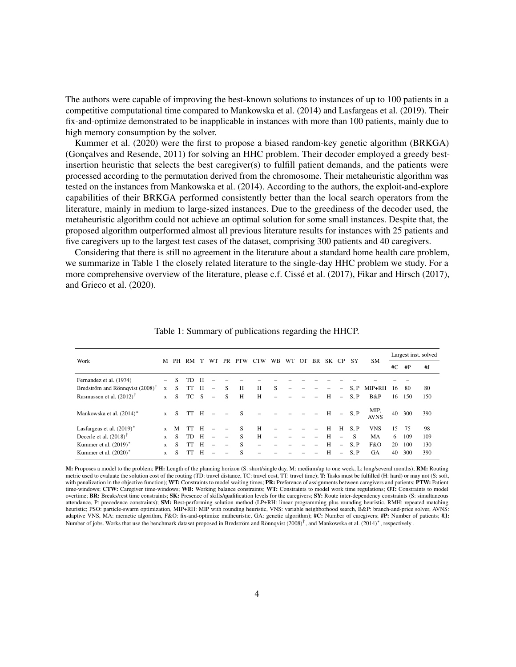The authors were capable of improving the best-known solutions to instances of up to 100 patients in a competitive computational time compared to [Mankowska et al.](#page-30-5) [\(2014\)](#page-30-5) and [Lasfargeas et al.](#page-30-9) [\(2019\)](#page-30-9). Their fix-and-optimize demonstrated to be inapplicable in instances with more than 100 patients, mainly due to high memory consumption by the solver.

[Kummer et al.](#page-30-11) [\(2020\)](#page-30-11) were the first to propose a biased random-key genetic algorithm (BRKGA) [\(Gonçalves and Resende, 2011\)](#page-30-12) for solving an HHC problem. Their decoder employed a greedy bestinsertion heuristic that selects the best caregiver(s) to fulfill patient demands, and the patients were processed according to the permutation derived from the chromosome. Their metaheuristic algorithm was tested on the instances from [Mankowska et al.](#page-30-5) [\(2014\)](#page-30-5). According to the authors, the exploit-and-explore capabilities of their BRKGA performed consistently better than the local search operators from the literature, mainly in medium to large-sized instances. Due to the greediness of the decoder used, the metaheuristic algorithm could not achieve an optimal solution for some small instances. Despite that, the proposed algorithm outperformed almost all previous literature results for instances with 25 patients and five caregivers up to the largest test cases of the dataset, comprising 300 patients and 40 caregivers.

Considering that there is still no agreement in the literature about a standard home health care problem, we summarize in Table [1](#page-3-0) the closely related literature to the single-day HHC problem we study. For a more comprehensive overview of the literature, please c.f. [Cissé et al.](#page-29-2) [\(2017\)](#page-29-2), [Fikar and Hirsch](#page-30-7) [\(2017\)](#page-30-7), and [Grieco et al.](#page-30-6) [\(2020\)](#page-30-6).

|                                      |              |    |      |   |          |     |              |     |     |    |    |     |     |                          |          |                     |       |     | Largest inst. solved |
|--------------------------------------|--------------|----|------|---|----------|-----|--------------|-----|-----|----|----|-----|-----|--------------------------|----------|---------------------|-------|-----|----------------------|
| Work                                 | М            | PH | RM   |   | WТ       | PR. | <b>PTW</b>   | CTW | WB. | WТ | OТ | BR. | SK. | CP.                      | SY       | <b>SM</b>           |       |     |                      |
|                                      |              |    |      |   |          |     |              |     |     |    |    |     |     |                          |          |                     | # $C$ | #P  | #J                   |
| Fernandez et al. (1974)              |              | S  | TD   | H |          |     |              |     |     |    |    |     |     |                          |          |                     |       |     |                      |
| Bredström and Rönnqvist $(2008)^T$   | X            | S  | TT   | H |          | S   | H            | H   | S   |    |    |     |     |                          | S, P     | MIP+RH              | 16    | -80 | 80                   |
| Rasmussen et al. $(2012)^{\dagger}$  | $\mathbf{x}$ | S  | TC S |   | $\equiv$ | S   | H            | H   |     |    |    |     | H   | $\overline{\phantom{a}}$ | S.P      | B&P                 | 16    | 150 | 150                  |
| Mankowska et al. (2014) <sup>*</sup> | $\mathbf{x}$ | S. | TT H |   |          |     | <sub>S</sub> |     |     |    |    |     | H   |                          | $- S, P$ | MIP,<br><b>AVNS</b> | 40    | 300 | 390                  |
| Lasfargeas et al. $(2019)^*$         | $\mathbf{x}$ | M  | TT   | H |          |     | S            | Н   |     |    |    |     | H   | H                        | S.P      | <b>VNS</b>          | 15    | 75  | 98                   |
| Decerle et al. $(2018)^{\dagger}$    | X            | S  | TD.  | H | $\equiv$ |     | S            | H   | -   |    |    |     | H   | $\overline{\phantom{m}}$ | S        | MA                  | 6     | 109 | 109                  |
| Kummer et al. $(2019)^*$             | $\mathbf{x}$ | S. | TT   | H |          |     | <sub>S</sub> |     |     |    |    |     | H   | $\overline{\phantom{a}}$ | S, P     | F&O                 | 20    | 100 | 130                  |
| Kummer et al. $(2020)^*$             | $\mathbf{x}$ | S  |      | H |          |     | S            |     |     |    |    |     | H   | $\overline{\phantom{a}}$ | S.P      | <b>GA</b>           | 40    | 300 | 390                  |

<span id="page-3-0"></span>Table 1: Summary of publications regarding the HHCP.

M: Proposes a model to the problem; PH: Length of the planning horizon (S: short/single day, M: medium/up to one week, L: long/several months); RM: Routing metric used to evaluate the solution cost of the routing (TD: travel distance, TC: travel cost, TT: travel time); T: Tasks must be fulfilled (H: hard) or may not (S: soft, with penalization in the objective function); WT: Constraints to model waiting times; PR: Preference of assignments between caregivers and patients; PTW: Patient time-windows; CTW: Caregiver time-windows; WB: Working balance constraints; WT: Constraints to model work time regulations; OT: Constraints to model overtime; BR: Breaks/rest time constraints; SK: Presence of skills/qualification levels for the caregivers; SY: Route inter-dependency constraints (S: simultaneous attendance, P: precedence constraints); SM: Best-performing solution method (LP+RH: linear programming plus rounding heuristic, RMH: repeated matching heuristic; PSO: particle-swarm optimization, MIP+RH: MIP with rounding heuristic, VNS: variable neighborhood search, B&P: branch-and-price solver, AVNS: adaptive VNS, MA: memetic algorithm, F&O: fix-and-optimize matheuristic, GA: genetic algorithm); #C: Number of caregivers; #P: Number of patients; #J: Number of jobs. Works that use the benchmark dataset proposed in [Bredström and Rönnqvist](#page-29-3) [\(2008\)](#page-29-3)<sup>†</sup>, and [Mankowska et al.](#page-30-5) [\(2014\)](#page-30-5)\*, respectively .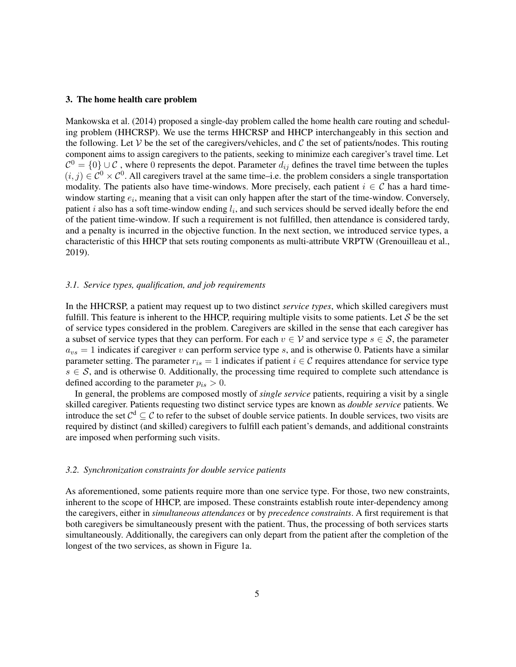#### <span id="page-4-0"></span>3. The home health care problem

[Mankowska et al.](#page-30-5) [\(2014\)](#page-30-5) proposed a single-day problem called the home health care routing and scheduling problem (HHCRSP). We use the terms HHCRSP and HHCP interchangeably in this section and the following. Let V be the set of the caregivers/vehicles, and C the set of patients/nodes. This routing component aims to assign caregivers to the patients, seeking to minimize each caregiver's travel time. Let  $C^0 = \{0\} \cup C$ , where 0 represents the depot. Parameter  $d_{ij}$  defines the travel time between the tuples  $(i, j) \in C^0 \times C^0$ . All caregivers travel at the same time–i.e. the problem considers a single transportation modality. The patients also have time-windows. More precisely, each patient  $i \in \mathcal{C}$  has a hard timewindow starting  $e_i$ , meaning that a visit can only happen after the start of the time-window. Conversely, patient *i* also has a soft time-window ending  $l_i$ , and such services should be served ideally before the end of the patient time-window. If such a requirement is not fulfilled, then attendance is considered tardy, and a penalty is incurred in the objective function. In the next section, we introduced service types, a characteristic of this HHCP that sets routing components as multi-attribute VRPTW [\(Grenouilleau et al.,](#page-30-4) [2019\)](#page-30-4).

### *3.1. Service types, qualification, and job requirements*

In the HHCRSP, a patient may request up to two distinct *service types*, which skilled caregivers must fulfill. This feature is inherent to the HHCP, requiring multiple visits to some patients. Let  $S$  be the set of service types considered in the problem. Caregivers are skilled in the sense that each caregiver has a subset of service types that they can perform. For each  $v \in V$  and service type  $s \in S$ , the parameter  $a_{vs} = 1$  indicates if caregiver v can perform service type s, and is otherwise 0. Patients have a similar parameter setting. The parameter  $r_{is} = 1$  indicates if patient  $i \in \mathcal{C}$  requires attendance for service type  $s \in S$ , and is otherwise 0. Additionally, the processing time required to complete such attendance is defined according to the parameter  $p_{is} > 0$ .

In general, the problems are composed mostly of *single service* patients, requiring a visit by a single skilled caregiver. Patients requesting two distinct service types are known as *double service* patients. We introduce the set  $C^d \subseteq C$  to refer to the subset of double service patients. In double services, two visits are required by distinct (and skilled) caregivers to fulfill each patient's demands, and additional constraints are imposed when performing such visits.

#### *3.2. Synchronization constraints for double service patients*

As aforementioned, some patients require more than one service type. For those, two new constraints, inherent to the scope of HHCP, are imposed. These constraints establish route inter-dependency among the caregivers, either in *simultaneous attendances* or by *precedence constraints*. A first requirement is that both caregivers be simultaneously present with the patient. Thus, the processing of both services starts simultaneously. Additionally, the caregivers can only depart from the patient after the completion of the longest of the two services, as shown in Figure [1a.](#page-5-0)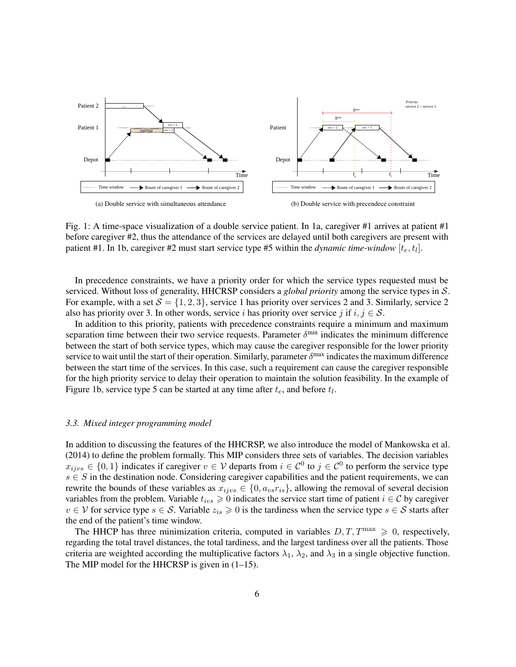

<span id="page-5-1"></span><span id="page-5-0"></span>Fig. 1: A time-space visualization of a double service patient. In [1a,](#page-5-0) caregiver #1 arrives at patient #1 before caregiver #2, thus the attendance of the services are delayed until both caregivers are present with patient #1. In [1b,](#page-5-1) caregiver #2 must start service type #5 within the *dynamic time-window*  $[t_e, t_l]$ .

In precedence constraints, we have a priority order for which the service types requested must be serviced. Without loss of generality, HHCRSP considers a *global priority* among the service types in S. For example, with a set  $S = \{1, 2, 3\}$ , service 1 has priority over services 2 and 3. Similarly, service 2 also has priority over 3. In other words, service i has priority over service j if  $i, j \in S$ .

In addition to this priority, patients with precedence constraints require a minimum and maximum separation time between their two service requests. Parameter  $\delta^{\min}$  indicates the minimum difference between the start of both service types, which may cause the caregiver responsible for the lower priority service to wait until the start of their operation. Similarly, parameter  $\delta^{\text{max}}$  indicates the maximum difference between the start time of the services. In this case, such a requirement can cause the caregiver responsible for the high priority service to delay their operation to maintain the solution feasibility. In the example of Figure [1b,](#page-5-1) service type 5 can be started at any time after  $t_e$ , and before  $t_l$ .

## *3.3. Mixed integer programming model*

In addition to discussing the features of the HHCRSP, we also introduce the model of [Mankowska et al.](#page-30-5) [\(2014\)](#page-30-5) to define the problem formally. This MIP considers three sets of variables. The decision variables  $x_{ijvs} \in \{0,1\}$  indicates if caregiver  $v \in V$  departs from  $i \in C^0$  to  $j \in C^0$  to perform the service type  $s \in S$  in the destination node. Considering caregiver capabilities and the patient requirements, we can rewrite the bounds of these variables as  $x_{ijvs} \in \{0, a_{vs}r_{is}\}\$ , allowing the removal of several decision variables from the problem. Variable  $t_{ivs} \geq 0$  indicates the service start time of patient  $i \in \mathcal{C}$  by caregiver  $v \in V$  for service type  $s \in S$ . Variable  $z_{is} \geq 0$  is the tardiness when the service type  $s \in S$  starts after the end of the patient's time window.

The HHCP has three minimization criteria, computed in variables  $D, T, T^{\max} \geq 0$ , respectively, regarding the total travel distances, the total tardiness, and the largest tardiness over all the patients. Those criteria are weighted according the multiplicative factors  $\lambda_1$ ,  $\lambda_2$ , and  $\lambda_3$  in a single objective function. The MIP model for the HHCRSP is given in  $(1-15)$  $(1-15)$ .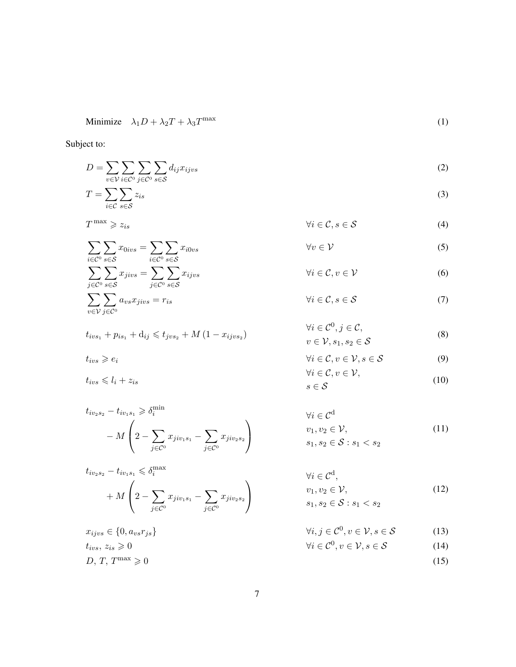Minimize 
$$
\lambda_1 D + \lambda_2 T + \lambda_3 T^{\max}
$$
 (1)

Subject to:

$$
D = \sum_{v \in \mathcal{V}} \sum_{i \in \mathcal{C}^0} \sum_{j \in \mathcal{C}^0} \sum_{s \in \mathcal{S}} d_{ij} x_{ijvs}
$$
 (2)

$$
T = \sum_{i \in \mathcal{C}} \sum_{s \in \mathcal{S}} z_{is} \tag{3}
$$

$$
T^{\max} \geqslant z_{is} \qquad \qquad \forall i \in \mathcal{C}, s \in \mathcal{S} \qquad \qquad (4)
$$

$$
\sum_{i \in \mathcal{C}^0} \sum_{s \in \mathcal{S}} x_{0ivs} = \sum_{i \in \mathcal{C}^0} \sum_{s \in \mathcal{S}} x_{i0vs} \qquad \forall v \in \mathcal{V}
$$
\n
$$
\sum_{j \in \mathcal{C}^0} \sum_{s \in \mathcal{S}} x_{jivs} = \sum_{j \in \mathcal{C}^0} \sum_{s \in \mathcal{S}} x_{ijvs} \qquad \forall i \in \mathcal{C}, v \in \mathcal{V}
$$
\n(5)

$$
\sum_{j \in \mathcal{C}^0} a_{vs} x_{jivs} = r_{is} \qquad \qquad \forall i \in \mathcal{C}, s \in \mathcal{S} \tag{7}
$$

$$
t_{iv s_1} + p_{is_1} + d_{ij} \leq t_{j v s_2} + M (1 - x_{ij v s_2})
$$

 $\sum$ v∈V

 $t_{ivs} \leqslant l_i + z_{is}$ 

$$
t_{iv_2s_2} - t_{iv_1s_1} \ge \delta_i^{\min}
$$
  
-  $M\left(2 - \sum_{j \in C^0} x_{jiv_1s_1} - \sum_{j \in C^0} x_{jiv_2s_2}\right)$ 

$$
t_{iv_2s_2} - t_{iv_1s_1} \leq \delta_i^{\max}
$$
  
+  $M\left(2 - \sum_{j \in C^0} x_{jiv_1s_1} - \sum_{j \in C^0} x_{jiv_2s_2}\right)$ 

$$
x_{ijvs} \in \{0, a_{vs}r_{js}\}\qquad \qquad \forall i, j \in \mathcal{C}^0, v \in \mathcal{V}, s \in \mathcal{S} \tag{13}
$$
  
\n
$$
t_{ivs}, z_{is} \geq 0 \qquad \qquad \forall i \in \mathcal{C}^0, v \in \mathcal{V}, s \in \mathcal{S} \tag{14}
$$
  
\n
$$
D, T, T^{\max} \geq 0 \qquad \qquad (15)
$$

<span id="page-6-6"></span><span id="page-6-5"></span><span id="page-6-4"></span><span id="page-6-3"></span><span id="page-6-2"></span><span id="page-6-0"></span>
$$
\forall i \in \mathcal{C}^0, j \in \mathcal{C},
$$

<span id="page-6-8"></span><span id="page-6-7"></span>
$$
v \in V, s_1, s_2 \in S
$$
\n
$$
(8)
$$

$$
t_{ivs} \ge e_i \qquad \qquad \forall i \in \mathcal{C}, v \in \mathcal{V}, s \in \mathcal{S} \qquad (9)
$$
  

$$
t_{ivs} \le l_i + z_{is} \qquad \qquad \forall i \in \mathcal{C}, v \in \mathcal{V},
$$
  

$$
s \in \mathcal{S} \qquad (10)
$$

<span id="page-6-10"></span><span id="page-6-9"></span>
$$
\forall i \in \mathcal{C}^d
$$
  
\n
$$
v_1, v_2 \in \mathcal{V},
$$
  
\n
$$
s_1, s_2 \in \mathcal{S} : s_1 < s_2
$$
\n(11)

$$
\forall i \in \mathcal{C}^{d},
$$
  
\n
$$
v_1, v_2 \in \mathcal{V},
$$
  
\n
$$
s_1, s_2 \in \mathcal{S} : s_1 < s_2
$$
\n
$$
(12)
$$

$$
\forall i, j \in \mathcal{C}^0, v \in \mathcal{V}, s \in \mathcal{S} \tag{13}
$$

$$
\forall i \in \mathcal{C}^0, v \in \mathcal{V}, s \in \mathcal{S} \tag{14}
$$

<span id="page-6-12"></span><span id="page-6-11"></span><span id="page-6-1"></span>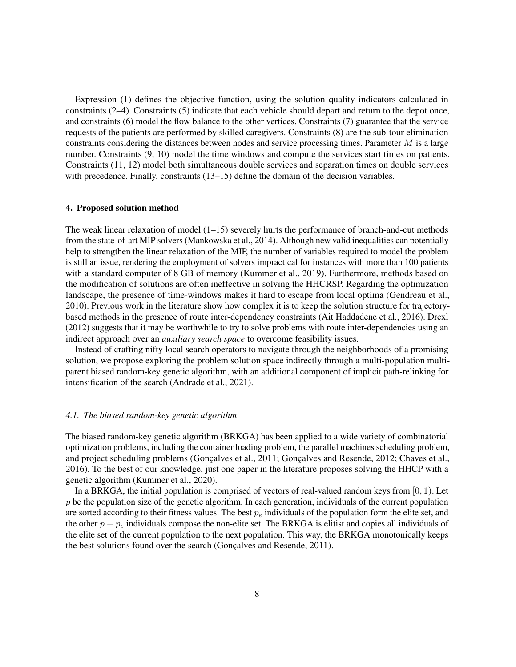Expression [\(1\)](#page-6-0) defines the objective function, using the solution quality indicators calculated in constraints [\(2](#page-6-2)[–4\)](#page-6-3). Constraints [\(5\)](#page-6-4) indicate that each vehicle should depart and return to the depot once, and constraints [\(6\)](#page-6-5) model the flow balance to the other vertices. Constraints [\(7\)](#page-6-6) guarantee that the service requests of the patients are performed by skilled caregivers. Constraints [\(8\)](#page-6-7) are the sub-tour elimination constraints considering the distances between nodes and service processing times. Parameter  $M$  is a large number. Constraints [\(9,](#page-6-8) [10\)](#page-6-9) model the time windows and compute the services start times on patients. Constraints [\(11,](#page-6-10) [12\)](#page-6-11) model both simultaneous double services and separation times on double services with precedence. Finally, constraints [\(13–](#page-6-12)[15\)](#page-6-1) define the domain of the decision variables.

## <span id="page-7-0"></span>4. Proposed solution method

The weak linear relaxation of model  $(1-15)$  $(1-15)$  severely hurts the performance of branch-and-cut methods from the state-of-art MIP solvers [\(Mankowska et al., 2014\)](#page-30-5). Although new valid inequalities can potentially help to strengthen the linear relaxation of the MIP, the number of variables required to model the problem is still an issue, rendering the employment of solvers impractical for instances with more than 100 patients with a standard computer of 8 GB of memory [\(Kummer et al., 2019\)](#page-30-10). Furthermore, methods based on the modification of solutions are often ineffective in solving the HHCRSP. Regarding the optimization landscape, the presence of time-windows makes it hard to escape from local optima [\(Gendreau et al.,](#page-30-13) [2010\)](#page-30-13). Previous work in the literature show how complex it is to keep the solution structure for trajectorybased methods in the presence of route inter-dependency constraints [\(Ait Haddadene et al., 2016\)](#page-29-7). [Drexl](#page-29-6) [\(2012\)](#page-29-6) suggests that it may be worthwhile to try to solve problems with route inter-dependencies using an indirect approach over an *auxiliary search space* to overcome feasibility issues.

Instead of crafting nifty local search operators to navigate through the neighborhoods of a promising solution, we propose exploring the problem solution space indirectly through a multi-population multiparent biased random-key genetic algorithm, with an additional component of implicit path-relinking for intensification of the search [\(Andrade et al., 2021\)](#page-29-8).

## *4.1. The biased random-key genetic algorithm*

The biased random-key genetic algorithm (BRKGA) has been applied to a wide variety of combinatorial optimization problems, including the container loading problem, the parallel machines scheduling problem, and project scheduling problems [\(Gonçalves et al., 2011;](#page-30-14) [Gonçalves and Resende, 2012;](#page-30-15) [Chaves et al.,](#page-29-9) [2016\)](#page-29-9). To the best of our knowledge, just one paper in the literature proposes solving the HHCP with a genetic algorithm [\(Kummer et al., 2020\)](#page-30-11).

In a BRKGA, the initial population is comprised of vectors of real-valued random keys from  $[0, 1)$ . Let  $p$  be the population size of the genetic algorithm. In each generation, individuals of the current population are sorted according to their fitness values. The best  $p_e$  individuals of the population form the elite set, and the other  $p - p_e$  individuals compose the non-elite set. The BRKGA is elitist and copies all individuals of the elite set of the current population to the next population. This way, the BRKGA monotonically keeps the best solutions found over the search [\(Gonçalves and Resende, 2011\)](#page-30-12).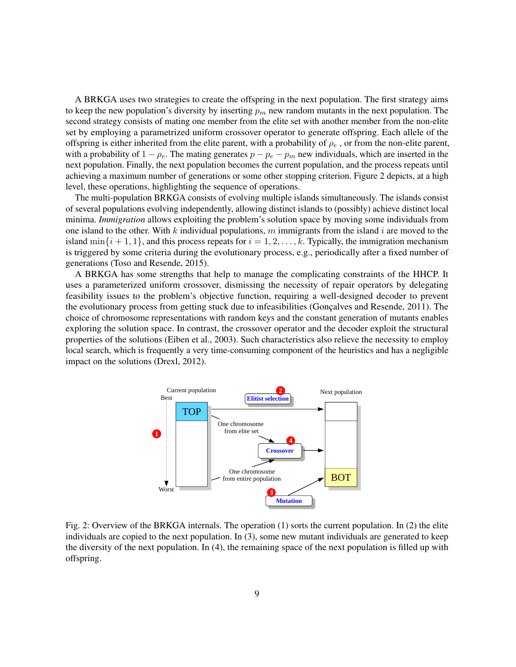A BRKGA uses two strategies to create the offspring in the next population. The first strategy aims to keep the new population's diversity by inserting  $p_m$  new random mutants in the next population. The second strategy consists of mating one member from the elite set with another member from the non-elite set by employing a parametrized uniform crossover operator to generate offspring. Each allele of the offspring is either inherited from the elite parent, with a probability of  $\rho_e$ , or from the non-elite parent, with a probability of  $1 - \rho_e$ . The mating generates  $p - p_e - p_m$  new individuals, which are inserted in the next population. Finally, the next population becomes the current population, and the process repeats until achieving a maximum number of generations or some other stopping criterion. Figure [2](#page-8-0) depicts, at a high level, these operations, highlighting the sequence of operations.

The multi-population BRKGA consists of evolving multiple islands simultaneously. The islands consist of several populations evolving independently, allowing distinct islands to (possibly) achieve distinct local minima. *Immigration* allows exploiting the problem's solution space by moving some individuals from one island to the other. With k individual populations, m immigrants from the island i are moved to the island  $\min\{i+1,1\}$ , and this process repeats for  $i=1,2,\ldots,k$ . Typically, the immigration mechanism is triggered by some criteria during the evolutionary process, e.g., periodically after a fixed number of generations [\(Toso and Resende, 2015\)](#page-30-16).

A BRKGA has some strengths that help to manage the complicating constraints of the HHCP. It uses a parameterized uniform crossover, dismissing the necessity of repair operators by delegating feasibility issues to the problem's objective function, requiring a well-designed decoder to prevent the evolutionary process from getting stuck due to infeasibilities [\(Gonçalves and Resende, 2011\)](#page-30-12). The choice of chromosome representations with random keys and the constant generation of mutants enables exploring the solution space. In contrast, the crossover operator and the decoder exploit the structural properties of the solutions [\(Eiben et al., 2003\)](#page-29-10). Such characteristics also relieve the necessity to employ local search, which is frequently a very time-consuming component of the heuristics and has a negligible impact on the solutions [\(Drexl, 2012\)](#page-29-6).



<span id="page-8-0"></span>Fig. 2: Overview of the BRKGA internals. The operation (1) sorts the current population. In (2) the elite individuals are copied to the next population. In (3), some new mutant individuals are generated to keep the diversity of the next population. In (4), the remaining space of the next population is filled up with offspring.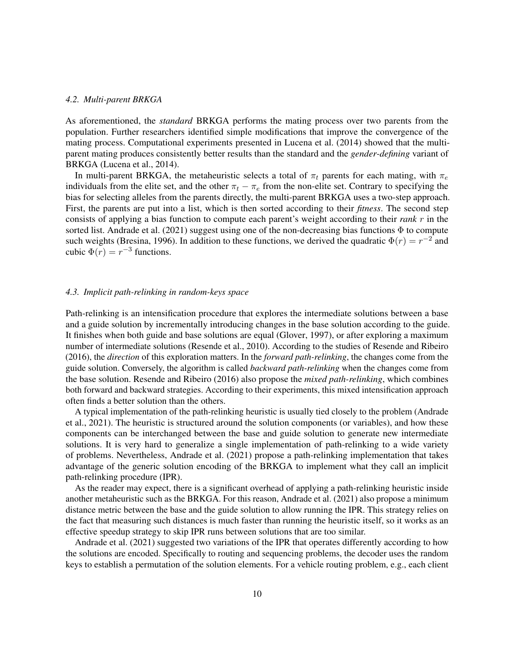#### *4.2. Multi-parent BRKGA*

As aforementioned, the *standard* BRKGA performs the mating process over two parents from the population. Further researchers identified simple modifications that improve the convergence of the mating process. Computational experiments presented in [Lucena et al.](#page-30-17) [\(2014\)](#page-30-17) showed that the multiparent mating produces consistently better results than the standard and the *gender-defining* variant of BRKGA [\(Lucena et al., 2014\)](#page-30-17).

In multi-parent BRKGA, the metaheuristic selects a total of  $\pi_t$  parents for each mating, with  $\pi_e$ individuals from the elite set, and the other  $\pi_t - \pi_e$  from the non-elite set. Contrary to specifying the bias for selecting alleles from the parents directly, the multi-parent BRKGA uses a two-step approach. First, the parents are put into a list, which is then sorted according to their *fitness*. The second step consists of applying a bias function to compute each parent's weight according to their *rank* r in the sorted list. [Andrade et al.](#page-29-8) [\(2021\)](#page-29-8) suggest using one of the non-decreasing bias functions  $\Phi$  to compute such weights [\(Bresina, 1996\)](#page-29-11). In addition to these functions, we derived the quadratic  $\Phi(r) = r^{-2}$  and cubic  $\Phi(r) = r^{-3}$  functions.

## *4.3. Implicit path-relinking in random-keys space*

Path-relinking is an intensification procedure that explores the intermediate solutions between a base and a guide solution by incrementally introducing changes in the base solution according to the guide. It finishes when both guide and base solutions are equal [\(Glover, 1997\)](#page-30-18), or after exploring a maximum number of intermediate solutions [\(Resende et al., 2010\)](#page-30-19). According to the studies of [Resende and Ribeiro](#page-30-20) [\(2016\)](#page-30-20), the *direction* of this exploration matters. In the *forward path-relinking*, the changes come from the guide solution. Conversely, the algorithm is called *backward path-relinking* when the changes come from the base solution. [Resende and Ribeiro](#page-30-20) [\(2016\)](#page-30-20) also propose the *mixed path-relinking*, which combines both forward and backward strategies. According to their experiments, this mixed intensification approach often finds a better solution than the others.

A typical implementation of the path-relinking heuristic is usually tied closely to the problem [\(Andrade](#page-29-8) [et al., 2021\)](#page-29-8). The heuristic is structured around the solution components (or variables), and how these components can be interchanged between the base and guide solution to generate new intermediate solutions. It is very hard to generalize a single implementation of path-relinking to a wide variety of problems. Nevertheless, [Andrade et al.](#page-29-8) [\(2021\)](#page-29-8) propose a path-relinking implementation that takes advantage of the generic solution encoding of the BRKGA to implement what they call an implicit path-relinking procedure (IPR).

As the reader may expect, there is a significant overhead of applying a path-relinking heuristic inside another metaheuristic such as the BRKGA. For this reason, [Andrade et al.](#page-29-8) [\(2021\)](#page-29-8) also propose a minimum distance metric between the base and the guide solution to allow running the IPR. This strategy relies on the fact that measuring such distances is much faster than running the heuristic itself, so it works as an effective speedup strategy to skip IPR runs between solutions that are too similar.

[Andrade et al.](#page-29-8) [\(2021\)](#page-29-8) suggested two variations of the IPR that operates differently according to how the solutions are encoded. Specifically to routing and sequencing problems, the decoder uses the random keys to establish a permutation of the solution elements. For a vehicle routing problem, e.g., each client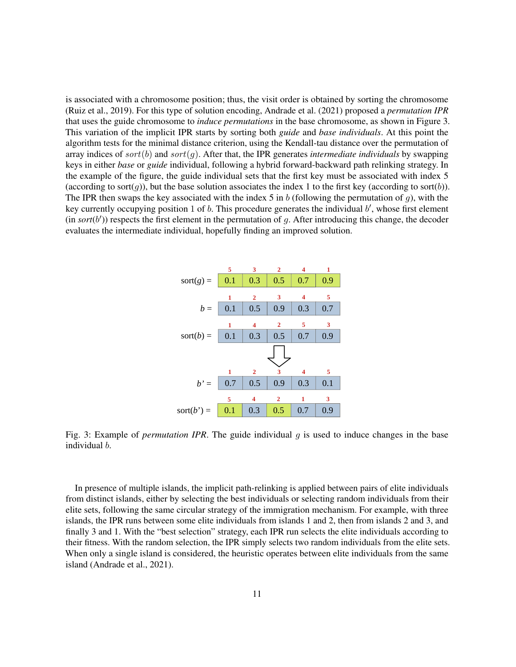is associated with a chromosome position; thus, the visit order is obtained by sorting the chromosome [\(Ruiz et al., 2019\)](#page-30-21). For this type of solution encoding, [Andrade et al.](#page-29-8) [\(2021\)](#page-29-8) proposed a *permutation IPR* that uses the guide chromosome to *induce permutations* in the base chromosome, as shown in Figure [3.](#page-10-0) This variation of the implicit IPR starts by sorting both *guide* and *base individuals*. At this point the algorithm tests for the minimal distance criterion, using the Kendall-tau distance over the permutation of array indices of  $sort(b)$  and  $sort(g)$ . After that, the IPR generates *intermediate individuals* by swapping keys in either *base* or *guide* individual, following a hybrid forward-backward path relinking strategy. In the example of the figure, the guide individual sets that the first key must be associated with index 5 (according to sort(q)), but the base solution associates the index 1 to the first key (according to sort(b)). The IPR then swaps the key associated with the index 5 in b (following the permutation of g), with the key currently occupying position 1 of  $b$ . This procedure generates the individual  $b'$ , whose first element  $(in sort(b'))$  respects the first element in the permutation of g. After introducing this change, the decoder evaluates the intermediate individual, hopefully finding an improved solution.



<span id="page-10-0"></span>Fig. 3: Example of *permutation IPR*. The guide individual g is used to induce changes in the base individual b.

In presence of multiple islands, the implicit path-relinking is applied between pairs of elite individuals from distinct islands, either by selecting the best individuals or selecting random individuals from their elite sets, following the same circular strategy of the immigration mechanism. For example, with three islands, the IPR runs between some elite individuals from islands 1 and 2, then from islands 2 and 3, and finally 3 and 1. With the "best selection" strategy, each IPR run selects the elite individuals according to their fitness. With the random selection, the IPR simply selects two random individuals from the elite sets. When only a single island is considered, the heuristic operates between elite individuals from the same island [\(Andrade et al., 2021\)](#page-29-8).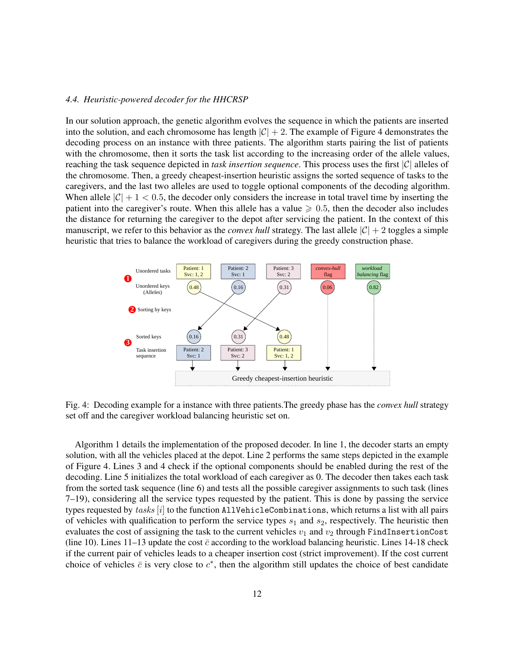## <span id="page-11-1"></span>*4.4. Heuristic-powered decoder for the HHCRSP*

In our solution approach, the genetic algorithm evolves the sequence in which the patients are inserted into the solution, and each chromosome has length  $|\mathcal{C}| + 2$ . The example of Figure [4](#page-11-0) demonstrates the decoding process on an instance with three patients. The algorithm starts pairing the list of patients with the chromosome, then it sorts the task list according to the increasing order of the allele values, reaching the task sequence depicted in *task insertion sequence*. This process uses the first |C| alleles of the chromosome. Then, a greedy cheapest-insertion heuristic assigns the sorted sequence of tasks to the caregivers, and the last two alleles are used to toggle optional components of the decoding algorithm. When allele  $|\mathcal{C}| + 1 < 0.5$ , the decoder only considers the increase in total travel time by inserting the patient into the caregiver's route. When this allele has a value  $\geq 0.5$ , then the decoder also includes the distance for returning the caregiver to the depot after servicing the patient. In the context of this manuscript, we refer to this behavior as the *convex hull* strategy. The last allele  $|\mathcal{C}| + 2$  toggles a simple heuristic that tries to balance the workload of caregivers during the greedy construction phase.



<span id="page-11-0"></span>Fig. 4: Decoding example for a instance with three patients.The greedy phase has the *convex hull* strategy set off and the caregiver workload balancing heuristic set on.

Algorithm [1](#page-12-0) details the implementation of the proposed decoder. In line 1, the decoder starts an empty solution, with all the vehicles placed at the depot. Line 2 performs the same steps depicted in the example of Figure [4.](#page-11-0) Lines 3 and 4 check if the optional components should be enabled during the rest of the decoding. Line 5 initializes the total workload of each caregiver as 0. The decoder then takes each task from the sorted task sequence (line 6) and tests all the possible caregiver assignments to such task (lines 7–19), considering all the service types requested by the patient. This is done by passing the service types requested by tasks  $[i]$  to the function AllVehicleCombinations, which returns a list with all pairs of vehicles with qualification to perform the service types  $s_1$  and  $s_2$ , respectively. The heuristic then evaluates the cost of assigning the task to the current vehicles  $v_1$  and  $v_2$  through FindInsertionCost (line 10). Lines 11–13 update the cost  $\bar{c}$  according to the workload balancing heuristic. Lines 14-18 check if the current pair of vehicles leads to a cheaper insertion cost (strict improvement). If the cost current choice of vehicles  $\bar{c}$  is very close to  $c^*$ , then the algorithm still updates the choice of best candidate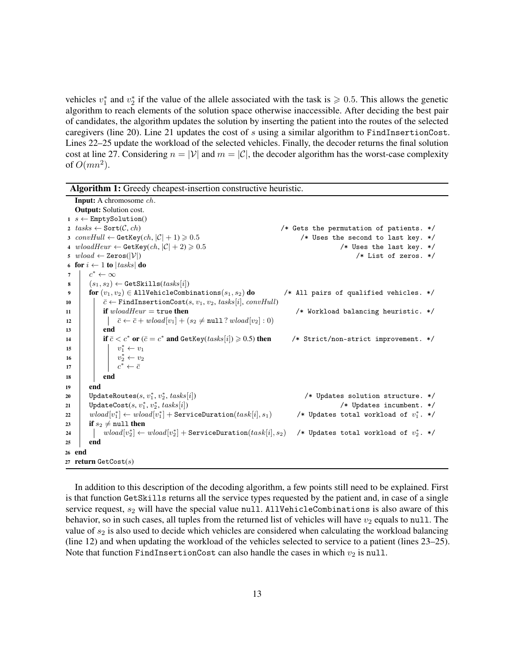vehicles  $v_1^*$  and  $v_2^*$  if the value of the allele associated with the task is  $\geqslant 0.5$ . This allows the genetic algorithm to reach elements of the solution space otherwise inaccessible. After deciding the best pair of candidates, the algorithm updates the solution by inserting the patient into the routes of the selected caregivers (line 20). Line 21 updates the cost of  $s$  using a similar algorithm to FindInsertionCost. Lines 22–25 update the workload of the selected vehicles. Finally, the decoder returns the final solution cost at line 27. Considering  $n = |V|$  and  $m = |C|$ , the decoder algorithm has the worst-case complexity of  $O(mn^2)$ .

|             | <b>Algorithm 1:</b> Greedy cheapest-insertion constructive heuristic.                                                              |                                           |
|-------------|------------------------------------------------------------------------------------------------------------------------------------|-------------------------------------------|
|             | <b>Input:</b> A chromosome <i>ch</i> .                                                                                             |                                           |
|             | <b>Output:</b> Solution cost.                                                                                                      |                                           |
|             | $1 \ s \leftarrow$ EmptySolution()                                                                                                 |                                           |
|             | 2 $tasks \leftarrow Sort(C, ch)$                                                                                                   | /* Gets the permutation of patients. $*/$ |
|             | 3 $convHull \leftarrow GetKey(ch,  \mathcal{C}  + 1) \geqslant 0.5$                                                                | /* Uses the second to last key. */        |
|             | 4 $wloadHeur \leftarrow$ GetKey $(ch,  \mathcal{C}  + 2) \geqslant 0.5$                                                            | /* Uses the last key. $*/$                |
|             | 5 $wload \leftarrow \text{Zeros}( \mathcal{V} )$                                                                                   | /* List of zeros. $*/$                    |
|             | 6 for $i \leftarrow 1$ to $ tasks $ do                                                                                             |                                           |
| $7^{\circ}$ | $c^* \leftarrow \infty$                                                                                                            |                                           |
| 8           | $(s_1, s_2) \leftarrow \texttt{GetSkills}(tasks[i])$                                                                               |                                           |
| 9           | for $(v_1, v_2) \in$ AllVehicleCombinations $(s_1, s_2)$ do                                                                        | /* All pairs of qualified vehicles. $*/$  |
| 10          | $\bar{c} \leftarrow$ FindInsertionCost(s, $v_1, v_2$ , tasks[i], convHull)                                                         |                                           |
| 11          | if $wloadHeur = \text{true}$ then                                                                                                  | /* Workload balancing heuristic. $*/$     |
| 12          | $\bar{c} \leftarrow \bar{c} + wload[v_1] + (s_2 \neq \texttt{null} ? \, wload[v_2] : 0)$                                           |                                           |
| 13          | end                                                                                                                                |                                           |
| 14          | if $\bar{c} < c^*$ or $(\bar{c} = c^*$ and GetKey( $tasks[i] \ge 0.5$ ) then                                                       | /* Strict/non-strict improvement. */      |
| 15          | $\begin{array}{c} \begin{array}{c} v_1^* \leftarrow v_1 \\ v_2^* \leftarrow v_2 \\ c^* \leftarrow \bar{c} \end{array} \end{array}$ |                                           |
| 16          |                                                                                                                                    |                                           |
| 17          |                                                                                                                                    |                                           |
| 18          | end                                                                                                                                |                                           |
| 19          | end                                                                                                                                |                                           |
| 20          | UpdateRoutes $(s, v_1^*, v_2^*,$ tasks $[i])$                                                                                      | /* Updates solution structure. */         |
| 21          | UpdateCost $(s, v_1^*, v_2^*,$ tasks $[i])$                                                                                        | /* Updates incumbent. $*/$                |
| 22          | $wload[v_1^*] \leftarrow wload[v_1^*] + \text{ServiceDuration}(task[i], s_1)$                                                      | /* Updates total workload of $v_1^*$ . */ |
| 23          | if $s_2 \neq \text{null}$ then                                                                                                     |                                           |
| 24          | $wload[v_2^*] \leftarrow wload[v_2^*] + \text{ServiceDuration}(task[i], s_2)$                                                      | /* Updates total workload of $v_2^*$ . */ |
| 25          | end                                                                                                                                |                                           |
|             | 26 end                                                                                                                             |                                           |
|             | 27 return $\text{GetCost}(s)$                                                                                                      |                                           |

<span id="page-12-0"></span>In addition to this description of the decoding algorithm, a few points still need to be explained. First is that function GetSkills returns all the service types requested by the patient and, in case of a single service request,  $s_2$  will have the special value null. AllVehicleCombinations is also aware of this behavior, so in such cases, all tuples from the returned list of vehicles will have  $v_2$  equals to null. The value of  $s_2$  is also used to decide which vehicles are considered when calculating the workload balancing (line 12) and when updating the workload of the vehicles selected to service to a patient (lines 23–25). Note that function FindInsertionCost can also handle the cases in which  $v_2$  is null.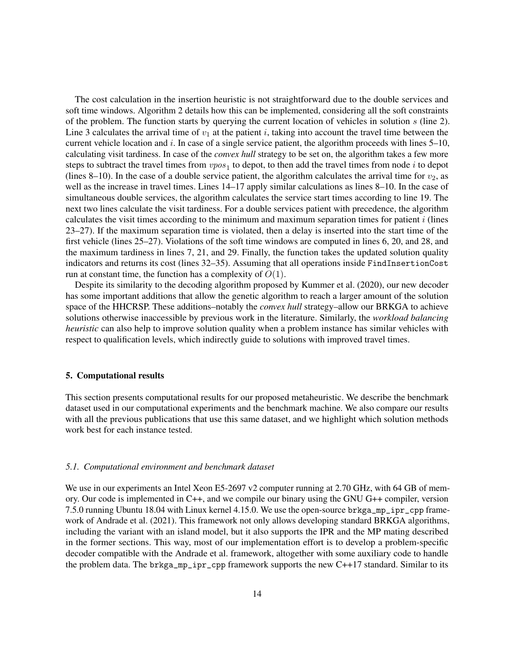The cost calculation in the insertion heuristic is not straightforward due to the double services and soft time windows. Algorithm [2](#page-14-0) details how this can be implemented, considering all the soft constraints of the problem. The function starts by querying the current location of vehicles in solution s (line 2). Line 3 calculates the arrival time of  $v_1$  at the patient i, taking into account the travel time between the current vehicle location and i. In case of a single service patient, the algorithm proceeds with lines  $5-10$ , calculating visit tardiness. In case of the *convex hull* strategy to be set on, the algorithm takes a few more steps to subtract the travel times from  $\textit{vpos}_1$  to depot, to then add the travel times from node i to depot (lines 8–10). In the case of a double service patient, the algorithm calculates the arrival time for  $v_2$ , as well as the increase in travel times. Lines 14–17 apply similar calculations as lines 8–10. In the case of simultaneous double services, the algorithm calculates the service start times according to line 19. The next two lines calculate the visit tardiness. For a double services patient with precedence, the algorithm calculates the visit times according to the minimum and maximum separation times for patient  $i$  (lines 23–27). If the maximum separation time is violated, then a delay is inserted into the start time of the first vehicle (lines 25–27). Violations of the soft time windows are computed in lines 6, 20, and 28, and the maximum tardiness in lines 7, 21, and 29. Finally, the function takes the updated solution quality indicators and returns its cost (lines 32–35). Assuming that all operations inside FindInsertionCost run at constant time, the function has a complexity of  $O(1)$ .

Despite its similarity to the decoding algorithm proposed by [Kummer et al.](#page-30-11) [\(2020\)](#page-30-11), our new decoder has some important additions that allow the genetic algorithm to reach a larger amount of the solution space of the HHCRSP. These additions–notably the *convex hull* strategy–allow our BRKGA to achieve solutions otherwise inaccessible by previous work in the literature. Similarly, the *workload balancing heuristic* can also help to improve solution quality when a problem instance has similar vehicles with respect to qualification levels, which indirectly guide to solutions with improved travel times.

## <span id="page-13-0"></span>5. Computational results

This section presents computational results for our proposed metaheuristic. We describe the benchmark dataset used in our computational experiments and the benchmark machine. We also compare our results with all the previous publications that use this same dataset, and we highlight which solution methods work best for each instance tested.

# <span id="page-13-1"></span>*5.1. Computational environment and benchmark dataset*

We use in our experiments an Intel Xeon E5-2697 v2 computer running at 2.70 GHz, with 64 GB of memory. Our code is implemented in C++, and we compile our binary using the GNU G++ compiler, version 7.5.0 running Ubuntu 18.04 with Linux kernel 4.15.0. We use the open-source [brkga\\_mp\\_ipr\\_cpp](https://github.com/ceandrade/brkga_mp_ipr_cpp) frame-work of [Andrade et al.](#page-29-8) [\(2021\)](#page-29-8). This framework not only allows developing standard BRKGA algorithms, including the variant with an island model, but it also supports the IPR and the MP mating described in the former sections. This way, most of our implementation effort is to develop a problem-specific decoder compatible with the [Andrade et al.](#page-29-8) framework, altogether with some auxiliary code to handle the problem data. The brkga\_mp\_ipr\_cpp framework supports the new C++17 standard. Similar to its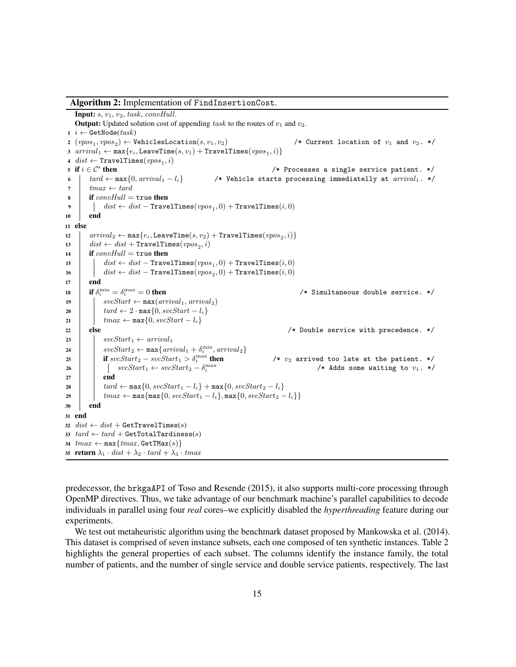Algorithm 2: Implementation of FindInsertionCost. Input:  $s, v_1, v_2,$  task, convHull. **Output:** Updated solution cost of appending task to the routes of  $v_1$  and  $v_2$ . 1 *i* ← GetNode( $task$ )  $2 \ (vpos_1, vpos_2)$ /\* Current location of  $v_1$  and  $v_2$ . \*/  $\texttt{3} \ \textit{arrival}_1 \leftarrow \texttt{max}\{e_i, \texttt{LeaveTime}(s, v_1) + \texttt{True} \texttt{allimes}(vpos_1, i)\}$  $4$   $dist \leftarrow$  TravelTimes $( vpos_1, i)$ 5 if  $i \in \mathcal{C}^s$  then /\* Processes a single service patient.  $*/$ 6 |  $tard \leftarrow max\{0, arrival_1 - l_i\}$  /\* Vehicle starts processing immediatelly at  $arrival_i$ . \*/ 7  $tmax \leftarrow tard$  $\textbf{s}$  if convHull = true then  $\begin{array}{|c|c|} \hline \texttt{0} & dist \leftarrow dist - \texttt{True} \texttt{I} \texttt{Times}(vpos_1, 0) + \texttt{True} \texttt{I} \texttt{Times}(i, 0) \hline \end{array}$ 10 end <sup>11</sup> else  $\begin{array}{ll} \texttt{12} & \; \; \textit{arrayal}_2 \leftarrow \texttt{max}\{e_i, \texttt{LeaveTime}(s, v_2) + \texttt{TravelTimes}(vpos_2, i)\} \end{array}$ 13  $dist \leftarrow dist + \text{TravelTimes}(vpos_2, i)$ 14 if  $convHull = \text{true}$  then  $\begin{array}{|c|c|} \hline \texttt{15} & \begin{array}{|c|c|} & \textit{dist} \leftarrow \textit{dist} - \texttt{TravelTimes}(vpos_1, 0) + \texttt{TravelTimes}(i, 0) \end{array}\right. \ \hline \end{array}$  $\begin{array}{|c|c|} \hline \text{16} & \text{dist} \leftarrow \text{dist} - \texttt{TravelTimes}(vpos_2, 0) + \texttt{TravelTimes}(i, 0) \hline \end{array}$  $17$  end 18 if  $\delta_i^{\min} = \delta_i^{\max}$  $/*$  Simultaneous double service.  $*/$ 19  $\vert$  svcStart  $\leftarrow$  max $(arrival_1, arrival_2)$ 20  $\left\{\n \begin{array}{c}\n \end{array}\n \right. \quad \text{and} \left. \leftarrow 2 \cdot \max\{0, \text{svcStart} - l_i\}\n \right.$ 21  $\vert$   $tmax \leftarrow max\{0, \textit{svcStart} - l_i\}$ 22 else else and the latter of  $\ell^*$  Double service with precedence. \*/ 23 |  $svcStart_1 \leftarrow arrival_1$ 24  $\vert$   $svcStart_2 \leftarrow max\{arrival_1 + \delta_i^{min}, arrival_2\}$ 25 if  $svcStart_2 - svcStart_1 > \delta_i^{\max}$ /\*  $v_2$  arrived too late at the patient. \*/ 26  $\vert$   $\vert$  svcStart<sub>1</sub> ← svcStart<sub>2</sub> –  $\delta_i^{\max}$ /\* Adds some waiting to  $v_1$ . \*/  $27$  end 28  $\left\{\n \begin{array}{c}\n \ \ \ \, \end{array}\n \right.$   $\left\{\n \begin{array}{c}\n \ \ \, \tan d \leftarrow \max\{0, \text{svcStart}_1 - l_i\} + \max\{0, \text{svcStart}_2 - l_i\}\n \end{array}\n \right.$ 29  $\vert$   $\vert$   $tmax \leftarrow max{\max{0, svcStart_1 - l_i}, max{0, svcStart_2 - l_i}}\}$ <sup>30</sup> end <sup>31</sup> end 32  $dist \leftarrow dist + \text{GetTravelTimes}(s)$ 33  $tard \leftarrow tard + \text{GetTotalTardiness}(s)$ 34  $tmax \leftarrow max{tmax, \text{GetTMax}(s)}$ 35 return  $\lambda_1 \cdot dist + \lambda_2 \cdot tard + \lambda_3 \cdot tmax$ 

<span id="page-14-0"></span>predecessor, the brkgaAPI of [Toso and Resende](#page-30-16) [\(2015\)](#page-30-16), it also supports multi-core processing through OpenMP directives. Thus, we take advantage of our benchmark machine's parallel capabilities to decode individuals in parallel using four *real* cores–we explicitly disabled the *hyperthreading* feature during our experiments.

We test out metaheuristic algorithm using the benchmark dataset proposed by [Mankowska et al.](#page-30-5) [\(2014\)](#page-30-5). This dataset is comprised of seven instance subsets, each one composed of ten synthetic instances. Table [2](#page-15-0) highlights the general properties of each subset. The columns identify the instance family, the total number of patients, and the number of single service and double service patients, respectively. The last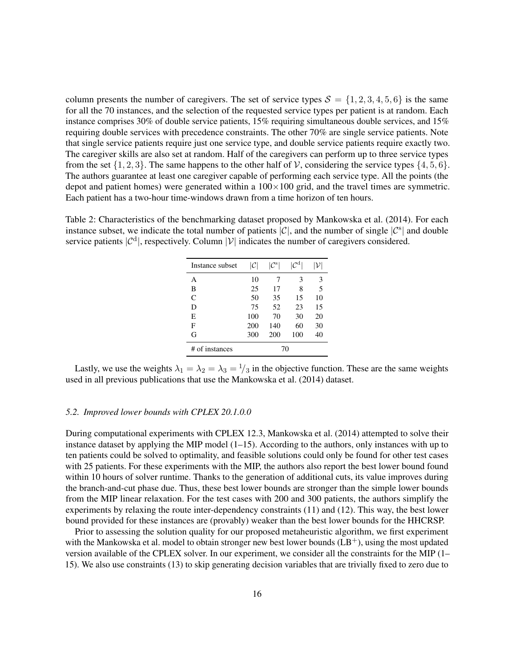column presents the number of caregivers. The set of service types  $S = \{1, 2, 3, 4, 5, 6\}$  is the same for all the 70 instances, and the selection of the requested service types per patient is at random. Each instance comprises 30% of double service patients, 15% requiring simultaneous double services, and 15% requiring double services with precedence constraints. The other 70% are single service patients. Note that single service patients require just one service type, and double service patients require exactly two. The caregiver skills are also set at random. Half of the caregivers can perform up to three service types from the set  $\{1, 2, 3\}$ . The same happens to the other half of V, considering the service types  $\{4, 5, 6\}$ . The authors guarantee at least one caregiver capable of performing each service type. All the points (the depot and patient homes) were generated within a  $100\times100$  grid, and the travel times are symmetric. Each patient has a two-hour time-windows drawn from a time horizon of ten hours.

<span id="page-15-0"></span>Table 2: Characteristics of the benchmarking dataset proposed by [Mankowska et al.](#page-30-5) [\(2014\)](#page-30-5). For each instance subset, we indicate the total number of patients  $|\mathcal{C}|$ , and the number of single  $|\mathcal{C}^s|$  and double service patients  $|C^d|$ , respectively. Column  $|V|$  indicates the number of caregivers considered.

| Instance subset | C   | $ \mathcal{C}^{\rm s} $ |     |    |
|-----------------|-----|-------------------------|-----|----|
| А               | 10  | 7                       | 3   | 3  |
| В               | 25  | 17                      | 8   | 5  |
| C               | 50  | 35                      | 15  | 10 |
| D               | 75  | 52                      | 23  | 15 |
| E               | 100 | 70                      | 30  | 20 |
| F               | 200 | 140                     | 60  | 30 |
| G               | 300 | 200                     | 100 | 40 |
| # of instances  |     | 70                      |     |    |

Lastly, we use the weights  $\lambda_1 = \lambda_2 = \lambda_3 = \frac{1}{3}$  in the objective function. These are the same weights used in all previous publications that use the [Mankowska et al.](#page-30-5) [\(2014\)](#page-30-5) dataset.

# <span id="page-15-1"></span>*5.2. Improved lower bounds with CPLEX 20.1.0.0*

During computational experiments with CPLEX 12.3, [Mankowska et al.](#page-30-5) [\(2014\)](#page-30-5) attempted to solve their instance dataset by applying the MIP model  $(1-15)$  $(1-15)$ . According to the authors, only instances with up to ten patients could be solved to optimality, and feasible solutions could only be found for other test cases with 25 patients. For these experiments with the MIP, the authors also report the best lower bound found within 10 hours of solver runtime. Thanks to the generation of additional cuts, its value improves during the branch-and-cut phase due. Thus, these best lower bounds are stronger than the simple lower bounds from the MIP linear relaxation. For the test cases with 200 and 300 patients, the authors simplify the experiments by relaxing the route inter-dependency constraints [\(11\)](#page-6-10) and [\(12\)](#page-6-11). This way, the best lower bound provided for these instances are (provably) weaker than the best lower bounds for the HHCRSP.

Prior to assessing the solution quality for our proposed metaheuristic algorithm, we first experiment with the [Mankowska et al.](#page-30-5) model to obtain stronger new best lower bounds  $(LB<sup>+</sup>)$ , using the most updated version available of the CPLEX solver. In our experiment, we consider all the constraints for the MIP [\(1–](#page-6-0) [15\)](#page-6-1). We also use constraints [\(13\)](#page-6-12) to skip generating decision variables that are trivially fixed to zero due to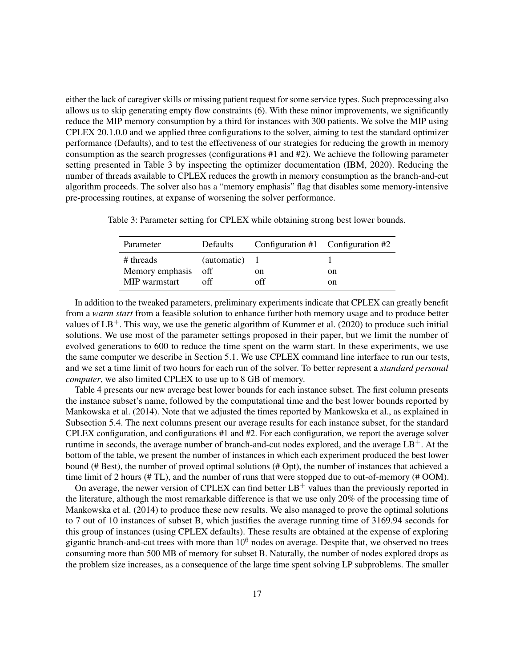either the lack of caregiver skills or missing patient request for some service types. Such preprocessing also allows us to skip generating empty flow constraints [\(6\)](#page-6-5). With these minor improvements, we significantly reduce the MIP memory consumption by a third for instances with 300 patients. We solve the MIP using CPLEX 20.1.0.0 and we applied three configurations to the solver, aiming to test the standard optimizer performance (Defaults), and to test the effectiveness of our strategies for reducing the growth in memory consumption as the search progresses (configurations #1 and #2). We achieve the following parameter setting presented in Table [3](#page-16-0) by inspecting the optimizer documentation [\(IBM, 2020\)](#page-30-22). Reducing the number of threads available to CPLEX reduces the growth in memory consumption as the branch-and-cut algorithm proceeds. The solver also has a "memory emphasis" flag that disables some memory-intensive pre-processing routines, at expanse of worsening the solver performance.

<span id="page-16-0"></span>Table 3: Parameter setting for CPLEX while obtaining strong best lower bounds.

| Parameter           | <b>Defaults</b> | Configuration $#1$ Configuration $#2$ |    |
|---------------------|-----------------|---------------------------------------|----|
| # threads           | (automatic) 1   |                                       |    |
| Memory emphasis off |                 | on                                    | on |
| MIP warmstart       | off             | off                                   | on |

In addition to the tweaked parameters, preliminary experiments indicate that CPLEX can greatly benefit from a *warm start* from a feasible solution to enhance further both memory usage and to produce better values of  $LB^+$ . This way, we use the genetic algorithm of [Kummer et al.](#page-30-11) [\(2020\)](#page-30-11) to produce such initial solutions. We use most of the parameter settings proposed in their paper, but we limit the number of evolved generations to 600 to reduce the time spent on the warm start. In these experiments, we use the same computer we describe in Section [5.1.](#page-13-1) We use CPLEX command line interface to run our tests, and we set a time limit of two hours for each run of the solver. To better represent a *standard personal computer*, we also limited CPLEX to use up to 8 GB of memory.

Table [4](#page-17-0) presents our new average best lower bounds for each instance subset. The first column presents the instance subset's name, followed by the computational time and the best lower bounds reported by [Mankowska et al.](#page-30-5) [\(2014\)](#page-30-5). Note that we adjusted the times reported by [Mankowska et al.,](#page-30-5) as explained in Subsection [5.4.](#page-19-0) The next columns present our average results for each instance subset, for the standard CPLEX configuration, and configurations #1 and #2. For each configuration, we report the average solver runtime in seconds, the average number of branch-and-cut nodes explored, and the average  $LB<sup>+</sup>$ . At the bottom of the table, we present the number of instances in which each experiment produced the best lower bound (# Best), the number of proved optimal solutions (# Opt), the number of instances that achieved a time limit of 2 hours (# TL), and the number of runs that were stopped due to out-of-memory (# OOM).

On average, the newer version of CPLEX can find better  $LB^+$  values than the previously reported in the literature, although the most remarkable difference is that we use only 20% of the processing time of [Mankowska et al.](#page-30-5) [\(2014\)](#page-30-5) to produce these new results. We also managed to prove the optimal solutions to 7 out of 10 instances of subset B, which justifies the average running time of 3169.94 seconds for this group of instances (using CPLEX defaults). These results are obtained at the expense of exploring gigantic branch-and-cut trees with more than  $10<sup>6</sup>$  nodes on average. Despite that, we observed no trees consuming more than 500 MB of memory for subset B. Naturally, the number of nodes explored drops as the problem size increases, as a consequence of the large time spent solving LP subproblems. The smaller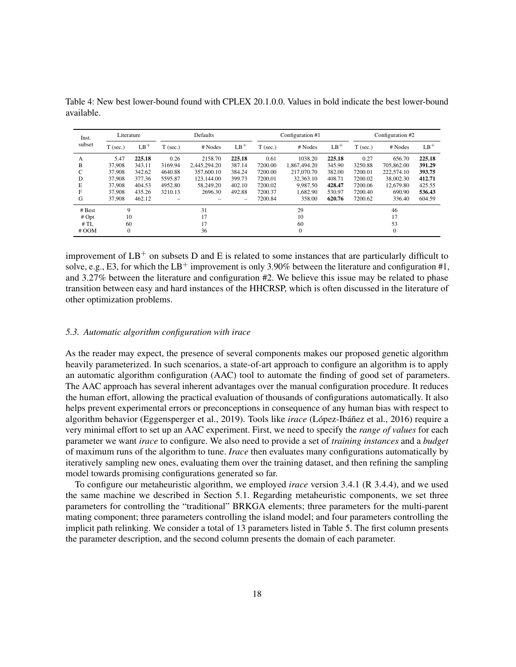| Inst.   |            | Literature |            | Defaults     |        |            | Configuration #1 |        | Configuration #2 |            |        |  |
|---------|------------|------------|------------|--------------|--------|------------|------------------|--------|------------------|------------|--------|--|
| subset  | $T$ (sec.) | $LB^+$     | $T$ (sec.) | # Nodes      | $LB^+$ | $T$ (sec.) | # Nodes          | $LB^+$ | $T$ (sec.)       | # Nodes    | $LB^+$ |  |
| A       | 5.47       | 225.18     | 0.26       | 2158.70      | 225.18 | 0.61       | 1038.20          | 225.18 | 0.27             | 656.70     | 225.18 |  |
| B       | 37,908     | 343.11     | 3169.94    | 2.445.294.20 | 387.14 | 7200.00    | 1.867.494.20     | 345.90 | 3250.88          | 705,862.00 | 391.29 |  |
| C       | 37,908     | 342.62     | 4640.88    | 357,600.10   | 384.24 | 7200.00    | 217,070.70       | 382.00 | 7200.01          | 222,574.10 | 393.75 |  |
| D       | 37,908     | 377.36     | 5595.87    | 123,144.00   | 399.73 | 7200.01    | 32, 363. 10      | 408.71 | 7200.02          | 38,002.30  | 412.71 |  |
| E       | 37,908     | 404.53     | 4952.80    | 58,249.20    | 402.10 | 7200.02    | 9.987.50         | 428.47 | 7200.06          | 12,679.80  | 425.55 |  |
| F       | 37,908     | 435.26     | 3210.13    | 2696.30      | 492.88 | 7200.37    | 1.682.90         | 530.97 | 7200.40          | 690.90     | 536.43 |  |
| G       | 37,908     | 462.12     |            |              | -      | 7200.84    | 358.00           | 620.76 | 7200.62          | 336.40     | 604.59 |  |
| # Best  | 9          |            |            | 31           |        | 29         |                  |        |                  | 46         |        |  |
| # Opt   | 10         |            | 17         |              |        | 10         |                  | 17     |                  |            |        |  |
| #TL     | 60         |            |            | 17           |        |            | 60               |        | 53               |            |        |  |
| $#$ OOM | $\theta$   |            |            | 36           |        |            | $\theta$         |        |                  | $\theta$   |        |  |

<span id="page-17-0"></span>Table 4: New best lower-bound found with CPLEX 20.1.0.0. Values in bold indicate the best lower-bound available.

improvement of  $LB^+$  on subsets D and E is related to some instances that are particularly difficult to solve, e.g., E3, for which the  $LB^+$  improvement is only 3.90% between the literature and configuration #1, and 3.27% between the literature and configuration #2. We believe this issue may be related to phase transition between easy and hard instances of the HHCRSP, which is often discussed in the literature of other optimization problems.

# <span id="page-17-1"></span>*5.3. Automatic algorithm configuration with irace*

As the reader may expect, the presence of several components makes our proposed genetic algorithm heavily parameterized. In such scenarios, a state-of-art approach to configure an algorithm is to apply an automatic algorithm configuration (AAC) tool to automate the finding of good set of parameters. The AAC approach has several inherent advantages over the manual configuration procedure. It reduces the human effort, allowing the practical evaluation of thousands of configurations automatically. It also helps prevent experimental errors or preconceptions in consequence of any human bias with respect to algorithm behavior [\(Eggensperger et al., 2019\)](#page-29-12). Tools like *irace* [\(López-Ibáñez et al., 2016\)](#page-30-23) require a very minimal effort to set up an AAC experiment. First, we need to specify the *range of values* for each parameter we want *irace* to configure. We also need to provide a set of *training instances* and a *budget* of maximum runs of the algorithm to tune. *Irace* then evaluates many configurations automatically by iteratively sampling new ones, evaluating them over the training dataset, and then refining the sampling model towards promising configurations generated so far.

To configure our metaheuristic algorithm, we employed *irace* version 3.4.1 (R 3.4.4), and we used the same machine we described in Section [5.1.](#page-13-1) Regarding metaheuristic components, we set three parameters for controlling the "traditional" BRKGA elements; three parameters for the multi-parent mating component; three parameters controlling the island model; and four parameters controlling the implicit path relinking. We consider a total of 13 parameters listed in Table [5.](#page-18-0) The first column presents the parameter description, and the second column presents the domain of each parameter.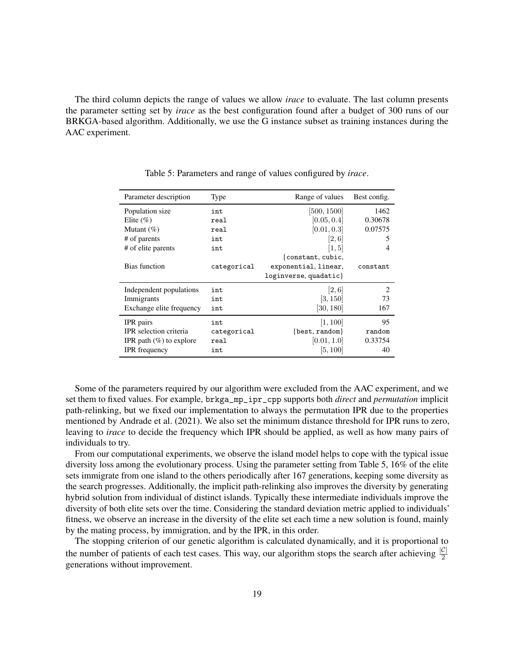The third column depicts the range of values we allow *irace* to evaluate. The last column presents the parameter setting set by *irace* as the best configuration found after a budget of 300 runs of our BRKGA-based algorithm. Additionally, we use the G instance subset as training instances during the AAC experiment.

| Parameter description      | Type        | Range of values       | Best config.  |
|----------------------------|-------------|-----------------------|---------------|
| Population size            | int         | [500, 1500]           | 1462          |
| Elite $(\% )$              | real        | [0.05, 0.4]           | 0.30678       |
| Mutant $(\%)$              | real        | [0.01, 0.3]           | 0.07575       |
| # of parents               | int         | [2,6]                 | 5             |
| # of elite parents         | int         | [1, 5]                | 4             |
|                            |             | constant, cubic,      |               |
| Bias function              | categorical | exponential, linear,  | constant      |
|                            |             | loginverse, quadatic} |               |
| Independent populations    | int         | [2,6]                 | $\mathcal{L}$ |
| Immigrants                 | int         | [3, 150]              | 73            |
| Exchange elite frequency   | int         | [30, 180]             | 167           |
| IPR pairs                  | int         | [1, 100]              | 95            |
| IPR selection criteria     | categorical | {best, random}        | random        |
| IPR path $(\%)$ to explore | real        | [0.01, 1.0]           | 0.33754       |
| <b>IPR</b> frequency       | int         | [5, 100]              | 40            |

<span id="page-18-0"></span>Table 5: Parameters and range of values configured by *irace*.

Some of the parameters required by our algorithm were excluded from the AAC experiment, and we set them to fixed values. For example, brkga\_mp\_ipr\_cpp supports both *direct* and *permutation* implicit path-relinking, but we fixed our implementation to always the permutation IPR due to the properties mentioned by [Andrade et al.](#page-29-8) [\(2021\)](#page-29-8). We also set the minimum distance threshold for IPR runs to zero, leaving to *irace* to decide the frequency which IPR should be applied, as well as how many pairs of individuals to try.

From our computational experiments, we observe the island model helps to cope with the typical issue diversity loss among the evolutionary process. Using the parameter setting from Table [5,](#page-18-0) 16% of the elite sets immigrate from one island to the others periodically after 167 generations, keeping some diversity as the search progresses. Additionally, the implicit path-relinking also improves the diversity by generating hybrid solution from individual of distinct islands. Typically these intermediate individuals improve the diversity of both elite sets over the time. Considering the standard deviation metric applied to individuals' fitness, we observe an increase in the diversity of the elite set each time a new solution is found, mainly by the mating process, by immigration, and by the IPR, in this order.

The stopping criterion of our genetic algorithm is calculated dynamically, and it is proportional to the number of patients of each test cases. This way, our algorithm stops the search after achieving  $\frac{|C|}{2}$ generations without improvement.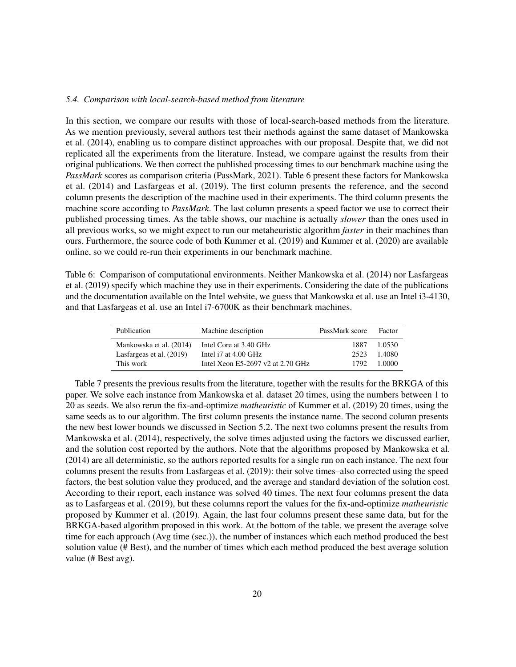## <span id="page-19-0"></span>*5.4. Comparison with local-search-based method from literature*

In this section, we compare our results with those of local-search-based methods from the literature. As we mention previously, several authors test their methods against the same dataset of [Mankowska](#page-30-5) [et al.](#page-30-5) [\(2014\)](#page-30-5), enabling us to compare distinct approaches with our proposal. Despite that, we did not replicated all the experiments from the literature. Instead, we compare against the results from their original publications. We then correct the published processing times to our benchmark machine using the *PassMark* scores as comparison criteria [\(PassMark, 2021\)](#page-30-24). Table [6](#page-19-1) present these factors for [Mankowska](#page-30-5) [et al.](#page-30-5) [\(2014\)](#page-30-5) and [Lasfargeas et al.](#page-30-9) [\(2019\)](#page-30-9). The first column presents the reference, and the second column presents the description of the machine used in their experiments. The third column presents the machine score according to *PassMark*. The last column presents a speed factor we use to correct their published processing times. As the table shows, our machine is actually *slower* than the ones used in all previous works, so we might expect to run our metaheuristic algorithm *faster* in their machines than ours. Furthermore, the source code of both [Kummer et al.](#page-30-10) [\(2019\)](#page-30-10) and [Kummer et al.](#page-30-11) [\(2020\)](#page-30-11) are available online, so we could re-run their experiments in our benchmark machine.

<span id="page-19-1"></span>Table 6: Comparison of computational environments. Neither [Mankowska et al.](#page-30-5) [\(2014\)](#page-30-5) nor [Lasfargeas](#page-30-9) [et al.](#page-30-9) [\(2019\)](#page-30-9) specify which machine they use in their experiments. Considering the date of the publications and the documentation available on the Intel website, we guess that [Mankowska et al.](#page-30-5) use an Intel i3-4130, and that [Lasfargeas et al.](#page-30-9) use an Intel i7-6700K as their benchmark machines.

| Publication              | Machine description                 | PassMark score | Factor |
|--------------------------|-------------------------------------|----------------|--------|
| Mankowska et al. (2014)  | Intel Core at 3.40 GHz              | 1887           | 1.0530 |
| Lasfargeas et al. (2019) | Intel i7 at 4.00 GHz                | 2523           | 1.4080 |
| This work                | Intel Xeon E5-2697 v2 at $2.70$ GHz | 1792           | 1.0000 |

Table [7](#page-20-0) presents the previous results from the literature, together with the results for the BRKGA of this paper. We solve each instance from [Mankowska et al.](#page-30-5) dataset 20 times, using the numbers between 1 to 20 as seeds. We also rerun the fix-and-optimize *matheuristic* of [Kummer et al.](#page-30-10) [\(2019\)](#page-30-10) 20 times, using the same seeds as to our algorithm. The first column presents the instance name. The second column presents the new best lower bounds we discussed in Section [5.2.](#page-15-1) The next two columns present the results from [Mankowska et al.](#page-30-5) [\(2014\)](#page-30-5), respectively, the solve times adjusted using the factors we discussed earlier, and the solution cost reported by the authors. Note that the algorithms proposed by [Mankowska et al.](#page-30-5) [\(2014\)](#page-30-5) are all deterministic, so the authors reported results for a single run on each instance. The next four columns present the results from [Lasfargeas et al.](#page-30-9) [\(2019\)](#page-30-9): their solve times–also corrected using the speed factors, the best solution value they produced, and the average and standard deviation of the solution cost. According to their report, each instance was solved 40 times. The next four columns present the data as to [Lasfargeas et al.](#page-30-9) [\(2019\)](#page-30-9), but these columns report the values for the fix-and-optimize *matheuristic* proposed by [Kummer et al.](#page-30-10) [\(2019\)](#page-30-10). Again, the last four columns present these same data, but for the BRKGA-based algorithm proposed in this work. At the bottom of the table, we present the average solve time for each approach (Avg time (sec.)), the number of instances which each method produced the best solution value (# Best), and the number of times which each method produced the best average solution value (# Best avg).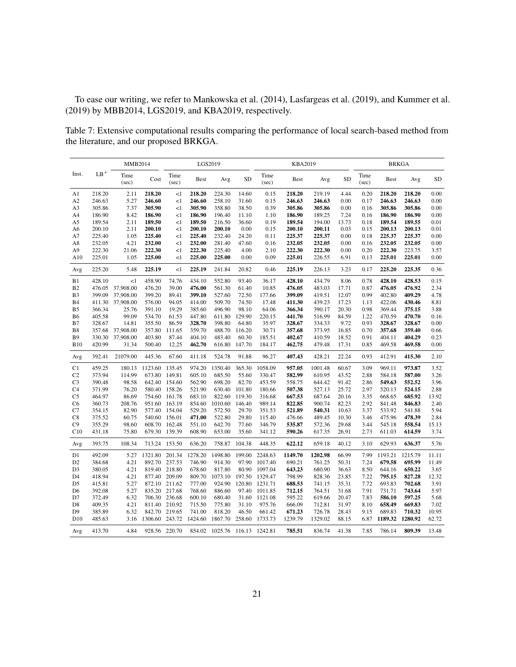To ease our writing, we refer to [Mankowska et al.](#page-30-5) [\(2014\)](#page-30-5), [Lasfargeas et al.](#page-30-9) [\(2019\)](#page-30-9), and [Kummer et al.](#page-30-10) [\(2019\)](#page-30-10) by MBB2014, LGS2019, and KBA2019, respectively.

<span id="page-20-0"></span>Table 7: Extensive computational results comparing the performance of local search-based method from the literature, and our proposed BRKGA.

|                |                  | MMB2014         |                  |                  | LGS2019          |                               |                 |                  | <b>KBA2019</b>   |                  |                |                  | <b>BRKGA</b>     |                  |              |
|----------------|------------------|-----------------|------------------|------------------|------------------|-------------------------------|-----------------|------------------|------------------|------------------|----------------|------------------|------------------|------------------|--------------|
| Inst.          | $LB^+$           | Time<br>(sec)   | Cost             | Time<br>(sec)    | <b>Best</b>      | Avg                           | SD              | Time<br>(sec)    | <b>Best</b>      | Avg              | <b>SD</b>      | Time<br>$(\sec)$ | <b>Best</b>      | Avg              | SD           |
| A1             | 218.20           | 2.11            | 218.20           | <1               | 218.20           | 224.30                        | 14.60           | 0.15             | 218.20           | 219.19           | 4.44           | 0.20             | 218.20           | 218.20           | 0.00         |
| A <sub>2</sub> | 246.63           | 5.27            | 246.60           | <1               | 246.60           | 258.10                        | 31.60           | 0.15             | 246.63           | 246.63           | 0.00           | 0.17             | 246.63           | 246.63           | 0.00         |
| A <sub>3</sub> | 305.86           | 7.37            | 305.90           | <1               | 305.90           | 358.80                        | 38.50           | 0.39             | 305.86           | 305.86           | 0.00           | 0.16             | 305.86           | 305.86           | 0.00         |
| A4             | 186.90           | 8.42            | 186.90           | <1               | 186.90           | 196.40                        | 11.10           | 1.10             | 186.90           | 189.25           | 7.24           | 0.16             | 186.90           | 186.90           | 0.00         |
| A5             | 189.54           | 2.11            | 189.50           | <1               | 189.50           | 216.50                        | 36.60           | 0.19             | 189.54           | 194.00           | 13.73          | 0.18             | 189.54           | 189.55           | 0.01         |
| A6             | 200.10           | 2.11            | 200.10           | <1               | 200.10           | 200.10                        | 0.00            | 0.15             | 200.10           | 200.11           | 0.03           | 0.15             | 200.13           | 200.13           | 0.01         |
| A7             | 225.40           | 1.05            | 225.40           | <1               | 225.40           | 232.40                        | 24.20           | 0.11             | 225.37           | 225.37           | 0.00           | 0.18             | 225.37           | 225.37           | 0.00         |
| A8             | 232.05           | 4.21            | 232.00           | $\leq$ 1         | 232.00           | 281.40                        | 47.60           | 0.16             | 232.05           | 232.05           | 0.00           | 0.16             | 232.05           | 232.05           | 0.00         |
| A <sub>9</sub> | 222.30           | 21.06           | 222.30           | $<$ l            | 222.30           | 225.40                        | 4.00            | 2.10             | 222.30           | 222.30           | 0.00           | 0.20             | 222.30           | 223.75           | 3.57         |
| A10            | 225.01           | 1.05            | 225.00           | $<$ l            | 225.00           | 225.00                        | 0.00            | 0.09             | 225.01           | 226.55           | 6.91           | 0.13             | 225.01           | 225.01           | 0.00         |
| Avg            | 225.20           | 5.48            | 225.19           | <1               | 225.19           | 241.84                        | 20.82           | 0.46             | 225.19           | 226.13           | 3.23           | 0.17             | 225.20           | 225.35           | 0.36         |
| B1             | 428.10           | $\leq$ 1        | 458.90           | 74.76            | 434.10           | 552.80                        | 93.40           | 36.17            | 428.10           | 434.79           | 8.06           | 0.78             | 428.10           | 428.53           | 0.15         |
| B <sub>2</sub> | 476.05           | 37,908.00       | 476.20           | 39.00            | 476.00           | 561.30                        | 61.40           | 10.85            | 476.05           | 483.03           | 17.71          | 0.87             | 476.05           | 476.92           | 2.34         |
| B <sub>3</sub> | 399.09           | 37,908.00       | 399.20           | 89.41            | 399.10           | 527.60                        | 72.50           | 177.66           | 399.09           | 419.51           | 12.07          | 0.99             | 402.80           | 409.29           | 4.78         |
| B4             | 411.30           | 37,908.00       | 576.00           | 94.05            | 414.00           | 509.70                        | 74.50           | 17.48            | 411.30           | 439.23           | 17.23          | 1.13             | 422.06           | 430.46           | 8.81         |
| B <sub>5</sub> | 366.34           | 25.76           | 391.10           | 19.29            | 385.60           | 496.90                        | 98.10           | 64.06            | 366.34           | 390.17           | 20.30          | 0.98             | 369.44           | 375.15           | 3.88         |
| B <sub>6</sub> | 405.58           | 99.09           | 534.70           | 61.53            | 447.80           | 611.80                        | 129.90          | 220.15           | 441.70           | 516.99           | 84.59          | 1.22             | 470.59           | 470.70           | 0.16         |
| B7             | 328.67           | 14.81           | 355.50           | 86.59            | 328.70           | 398.80                        | 64.80           | 35.97            | 328.67           | 334.33           | 9.72           | 0.93             | 328.67           | 328.67           | 0.00         |
| B <sub>8</sub> | 357.68           | 37,908.00       | 357.80           | 111.65           | 359.70           | 488.70                        | 116.20          | 30.71            | 357.68           | 373.95           | 16.85          | 0.70             | 357.68           | 359.40           | 0.66         |
| <b>B</b> 9     | 330.30           | 37,908.00       | 403.80           | 87.44            | 404.10           | 483.40                        | 60.30           | 185.51           | 402.67           | 410.59           | 18.52          | 0.91             | 404.11           | 404.29           | 0.23         |
| <b>B10</b>     | 420.99           | 31.34           | 500.40           | 12.25            | 462.70           | 616.80                        | 147.70          | 184.17           | 462.75           | 479.48           | 17.31          | 0.85             | 469.58           | 469.58           | 0.00         |
| Avg            | 392.41           | 21079.00        | 445.36           | 67.60            | 411.18           | 524.78                        | 91.88           | 96.27            | 407.43           | 428.21           | 22.24          | 0.93             | 412.91           | 415.30           | 2.10         |
| C1             | 459.25           | 180.13          | 1123.60          | 135.45           | 974.20           | 1350.40                       | 365.30          | 1058.09          | 957.05           | 1001.48          | 60.67          | 3.09             | 969.11           | 973.87           | 3.52         |
| C <sub>2</sub> | 373.94           | 114.99          | 673.80           | 149.81           | 605.10           | 685.50                        | 55.60           | 330.47           | 582.99           | 610.95           | 43.52          | 2.88             | 584.18           | 587.00           | 3.26         |
| C <sub>3</sub> | 390.48           | 98.58           | 642.40           | 154.60           | 562.90           | 698.20                        | 82.70           | 453.59           | 558.75           | 644.42           | 91.42          | 2.86             | 549.63           | 552.52           | 3.96         |
| C <sub>4</sub> | 371.99           | 76.20           | 580.40           | 158.26           | 521.90           | 630.40                        | 101.80          | 180.66           | 507.38           | 527.13           | 25.72          | 2.97             | 520.13           | 524.15           | 2.88         |
| C <sub>5</sub> | 464.97           | 86.69           | 754.60           | 161.78           | 683.10           | 822.60                        | 119.30          | 316.68           | 667.53           | 687.64           | 20.16          | 3.35             | 668.65           | 685.92           | 13.92        |
| C <sub>6</sub> | 360.73<br>354.15 | 208.76<br>82.90 | 951.60<br>577.40 | 163.19<br>154.04 | 854.60<br>529.20 | 1010.60                       | 146.40<br>29.70 | 989.14           | 822.85<br>521.89 | 900.74<br>540.31 | 82.23<br>10.63 | 2.92             | 841.48           | 846.83<br>541.88 | 2.40<br>5.94 |
| C7<br>C8       | 375.52           | 60.75           | 540.60           | 156.01           | 471.00           | 572.50<br>522.80              | 29.80           | 351.53<br>115.40 | 476.66           | 489.45           | 10.30          | 3.37<br>3.46     | 533.92<br>475.96 | 478.39           | 2.84         |
| C9             | 355.29           | 98.60           | 608.70           | 162.48           | 551.10           | 642.70                        | 77.60           | 346.79           | 535.87           | 572.36           | 29.68          | 3.44             | 545.18           | 558.54           | 15.13        |
| C10            | 431.18           | 75.80           |                  | 679.30 139.39    | 608.90           | 653.00                        | 35.60           | 341.12           | 590.26           | 617.35           | 26.91          | 2.73             | 611.03           | 614.59           | 3.74         |
| Avg            | 393.75           | 108.34          | 713.24           | 153.50           | 636.20           | 758.87                        | 104.38          | 448.35           | 622.12           | 659.18           | 40.12          | 3.10             | 629.93           | 636.37           | 5.76         |
| D1             | 492.09           | 5.27            | 1321.80          | 201.34           | 1278.20          | 1498.80                       | 199.00          | 2248.63          | 1149.70          | 1202.98          | 66.99          | 7.99             | 1193.21          | 1215.79          | 11.11        |
| D <sub>2</sub> | 384.68           | 4.21            | 892.70           | 237.53           | 746.90           | 914.30                        | 97.90           | 1017.40          | 690.21           | 761.25           | 50.31          | 7.24             | 679.58           | 695.99           | 11.49        |
| D <sub>3</sub> | 380.05           | 4.21            | 819.40           | 218.80           | 678.60           | 817.80                        | 80.90           | 1097.04          | 643.23           | 680.90           | 36.63          | 8.50             | 644.16           | 650.22           | 3.65         |
| D4             | 418.94           | 4.21            |                  | 877.40 209.09    | 809.70           | 1073.10                       | 197.50          | 1329.47          | 798.99           | 828.36           | 23.85          | 7.22             | 795.15           | 827.28           | 12.32        |
| D <sub>5</sub> | 415.81           | 5.27            |                  | 872.10 211.62    | 777.00           | 924.90                        | 120.80          | 1231.71          | 688.53           | 741.15           | 35.31          | 7.72             | 693.83           | 702.68           | 3.91         |
| D <sub>6</sub> | 392.08           | 5.27            |                  | 835.20 217.68    | 768.60           | 886.60                        | 97.40           | 1011.85          | 712.15           | 764.51           | 31.68          | 7.91             | 731.71           | 743.64           | 5.97         |
| D7             | 372.49           | 6.32            |                  | 706.30 236.68    | 600.10           | 680.40                        | 31.60           | 1121.08          | 595.22           | 619.66           | 20.47          | 7.83             | 586.10           | 597.25           | 5.68         |
| D <sub>8</sub> | 409.35           | 4.21            |                  | 811.40 210.92    | 715.50           | 775.80                        | 31.10           | 975.76           | 666.09           | 712.81           | 31.97          | 8.10             | 658.49           | 669.83           | 7.02         |
| D <sub>9</sub> | 385.89           | 6.32            |                  | 842.70 219.65    | 741.00           | 818.20                        | 46.50           | 661.42           | 671.23           | 726.78           | 28.43          | 9.15             | 689.83           | 710.32           | 10.95        |
| D10            | 485.63           | 3.16            | 1306.60 243.72   |                  | 1424.60          | 1867.70                       | 258.60          | 1733.73          | 1239.79          | 1329.02          | 88.15          | 6.87             | 1189.32          | 1280.92          | 62.72        |
| Avg            | 413.70           | 4.84            |                  | 928.56 220.70    |                  | 854.02 1025.76 116.13 1242.81 |                 |                  | 785.51           | 836.74           | 41.38          | 7.85             | 786.14           | 809.39           | 13.48        |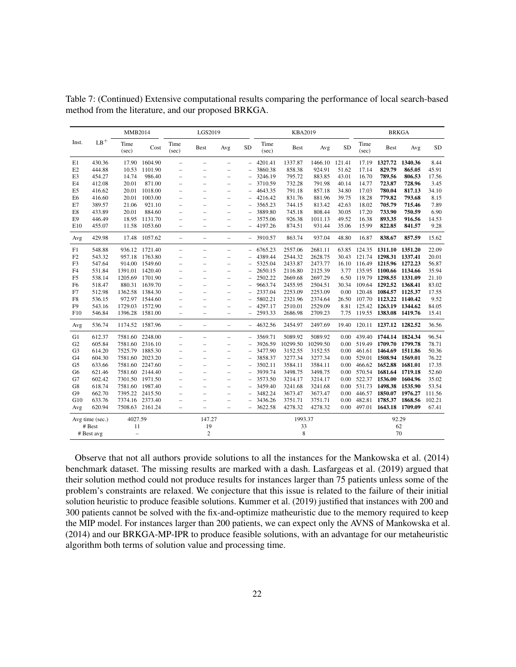|                |                 | MMB2014           |                 |                          | LGS2019                  |                          |                          |               | KBA2019     |          |           |               |                             | <b>BRKGA</b> |           |
|----------------|-----------------|-------------------|-----------------|--------------------------|--------------------------|--------------------------|--------------------------|---------------|-------------|----------|-----------|---------------|-----------------------------|--------------|-----------|
| Inst.          | $LB+$           | Time<br>(sec)     | Cost            | Time<br>(sec)            | <b>Best</b>              | Avg                      | <b>SD</b>                | Time<br>(sec) | <b>Best</b> | Avg      | <b>SD</b> | Time<br>(sec) | Best                        | Avg          | <b>SD</b> |
| E1             | 430.36          | 17.90             | 1604.90         | $\overline{\phantom{0}}$ | $\overline{\phantom{m}}$ | $\equiv$                 | $\qquad \qquad -$        | 4201.41       | 1337.87     | 1466.10  | 121.41    | 17.19         | 1327.72                     | 1340.36      | 8.44      |
| E2             | 444.88          | 10.53             | 1101.90         | ÷,                       | $\overline{\phantom{m}}$ | $\overline{\phantom{0}}$ |                          | 3860.38       | 858.38      | 924.91   | 51.62     | 17.14         | 829.79                      | 865.05       | 45.91     |
| E3             | 454.27          | 14.74             | 986.40          | $\overline{\phantom{0}}$ |                          | $\equiv$                 |                          | 3246.19       | 795.72      | 883.85   | 43.01     | 16.70         | 789.56                      | 806.53       | 17.56     |
| E4             | 412.08          | 20.01             | 871.00          | $\overline{\phantom{0}}$ | $\overline{\phantom{0}}$ | $\overline{\phantom{0}}$ |                          | 3710.59       | 732.28      | 791.98   | 40.14     | 14.77         | 723.87                      | 728.96       | 3.45      |
| E <sub>5</sub> | 416.62          | 20.01             | 1018.00         | $\overline{\phantom{0}}$ | $\overline{\phantom{m}}$ | $\overline{\phantom{0}}$ |                          | 4643.35       | 791.18      | 857.18   | 34.80     | 17.03         | 780.04                      | 817.13       | 34.10     |
| E <sub>6</sub> | 416.60          | 20.01             | 1003.00         | -                        | $\equiv$                 | $\equiv$                 |                          | 4216.42       | 831.76      | 881.96   | 39.75     | 18.28         | 779.82                      | 793.68       | 8.15      |
| E7             | 389.57          | 21.06             | 921.10          | $=$                      |                          | $\equiv$                 |                          | 3565.23       | 744.15      | 813.42   | 42.63     | 18.02         | 705.79                      | 715.46       | 7.89      |
| E8             | 433.89          | 20.01             | 884.60          | $\overline{\phantom{0}}$ | $\overline{\phantom{0}}$ | $\overline{\phantom{m}}$ |                          | 3889.80       | 745.18      | 808.44   | 30.05     | 17.20         | 733.90                      | 750.59       | 6.90      |
| E <sub>9</sub> | 446.49          | 18.95             | 1131.70         | $\overline{\phantom{0}}$ |                          |                          |                          | 3575.06       | 926.38      | 1011.13  | 49.52     | 16.38         | 893.35                      | 916.56       | 14.53     |
| E10            | 455.07          | 11.58             | 1053.60         |                          |                          |                          |                          | 4197.26       | 874.51      | 931.44   | 35.06     | 15.99         | 822.85                      | 841.57       | 9.28      |
| Avg            | 429.98          |                   | 17.48 1057.62   | $\overline{\phantom{0}}$ | $\overline{\phantom{0}}$ | $\qquad \qquad -$        |                          | 3910.57       | 863.74      | 937.04   | 48.80     | 16.87         | 838.67                      | 857.59       | 15.62     |
| F1             | 548.88          |                   | 936.12 1721.40  | $\overline{\phantom{0}}$ | $\overline{\phantom{m}}$ | $\qquad \qquad -$        | $\overline{\phantom{0}}$ | 6765.23       | 2557.06     | 2681.11  | 63.85     |               | 124.35 1311.10 1351.20      |              | 22.09     |
| F2             | 543.32          |                   | 957.18 1763.80  | $\overline{\phantom{0}}$ | $\overline{\phantom{m}}$ | $\overline{\phantom{m}}$ |                          | 4389.44       | 2544.32     | 2628.75  | 30.43     |               | 121.74 1298.31 1337.41      |              | 20.01     |
| F3             | 547.64          |                   | 914.00 1549.60  | -                        | $\overline{\phantom{0}}$ | $\equiv$                 |                          | 5325.04       | 2433.87     | 2473.77  | 16.10     |               | 116.49 1215.96 1272.23      |              | 56.87     |
| F <sub>4</sub> | 531.84          |                   | 1391.01 1420.40 | ÷,                       | $\overline{\phantom{0}}$ | $\overline{\phantom{0}}$ | $\overline{\phantom{0}}$ | 2650.15       | 2116.80     | 2125.39  | 3.77      |               | 135.95 1100.66 1134.66      |              | 35.94     |
| F <sub>5</sub> | 538.14          |                   | 1205.69 1701.90 | $\overline{\phantom{0}}$ | $\overline{\phantom{0}}$ | $\overline{\phantom{0}}$ | $\overline{\phantom{0}}$ | 2502.22       | 2669.68     | 2697.29  | 6.50      |               | 119.79 1298.55 1331.09      |              | 21.10     |
| F <sub>6</sub> | 518.47          |                   | 880.31 1639.70  | $\overline{\phantom{0}}$ |                          | $\overline{\phantom{0}}$ |                          | 9663.74       | 2455.95     | 2504.51  | 30.34     |               | 109.64 1292.52 1368.41      |              | 83.02     |
| F7             | 512.98          |                   | 1362.58 1384.30 | -                        | $\overline{\phantom{0}}$ | $\overline{\phantom{0}}$ |                          | 2337.04       | 2253.09     | 2253.09  | 0.00      |               | 120.48 1084.57 1125.37      |              | 17.55     |
| F8             | 536.15          |                   | 972.97 1544.60  | $\overline{\phantom{0}}$ | $\equiv$                 | $\overline{\phantom{0}}$ |                          | 5802.21       | 2321.96     | 2374.64  | 26.50     |               | 107.70 1123.22 1140.42      |              | 9.52      |
| F <sub>9</sub> | 543.16          |                   | 1729.03 1572.90 | $\overline{\phantom{0}}$ | $\overline{\phantom{0}}$ |                          |                          | 4297.17       | 2510.01     | 2529.09  | 8.81      |               | 125.42 1263.19 1344.62      |              | 84.05     |
| F10            | 546.84          |                   | 1396.28 1581.00 | $=$                      |                          |                          |                          | 2593.33       | 2686.98     | 2709.23  | 7.75      |               | 119.55 1383.08 1419.76      |              | 15.41     |
| Avg            | 536.74          |                   | 1174.52 1587.96 | $\overline{\phantom{0}}$ | $\qquad \qquad -$        | $\qquad \qquad -$        | $\overline{\phantom{0}}$ | 4632.56       | 2454.97     | 2497.69  | 19.40     |               | 120.11 1237.12 1282.52      |              | 36.56     |
| G1             | 612.37          |                   | 7581.60 2248.00 | $\overline{\phantom{0}}$ | $\overline{\phantom{0}}$ | $\qquad \qquad -$        | $\overline{\phantom{0}}$ | 3569.71       | 5089.92     | 5089.92  | 0.00      |               | 439.40 1744.14 1824.34      |              | 96.54     |
| G2             | 605.84          |                   | 7581.60 2316.10 | $\overline{\phantom{0}}$ | $\overline{\phantom{0}}$ | $\qquad \qquad -$        |                          | 3926.59       | 10299.50    | 10299.50 |           |               | 0.00 519.49 1709.70 1799.78 |              | 78.71     |
| G <sub>3</sub> | 614.20          |                   | 7525.79 1885.30 | -                        | $\overline{\phantom{0}}$ | $\overline{\phantom{0}}$ | $\overline{\phantom{0}}$ | 3477.90       | 3152.55     | 3152.55  | 0.00      |               | 461.61 1464.69 1511.86      |              | 50.36     |
| G <sub>4</sub> | 604.30          | 7581.60           | 2023.20         | $\overline{\phantom{0}}$ | $\overline{\phantom{0}}$ | $\qquad \qquad -$        |                          | 3858.37       | 3277.34     | 3277.34  | 0.00      |               | 529.01 1508.94 1569.01      |              | 76.22     |
| G <sub>5</sub> | 633.66          |                   | 7581.60 2247.60 | ÷,                       | $\overline{\phantom{m}}$ | $\overline{\phantom{0}}$ |                          | 3502.11       | 3584.11     | 3584.11  | 0.00      |               | 466.62 1652.88 1681.01      |              | 17.35     |
| G6             | 621.46          |                   | 7581.60 2144.40 | -                        | $\overline{\phantom{0}}$ | $\equiv$                 |                          | 3939.74       | 3498.75     | 3498.75  |           |               | 0.00 570.54 1681.64 1719.18 |              | 52.60     |
| G7             | 602.42          |                   | 7301.50 1971.50 | ÷,                       | $\equiv$                 | $\overline{\phantom{0}}$ | $\overline{\phantom{0}}$ | 3573.50       | 3214.17     | 3214.17  | 0.00      |               | 522.37 1536.00 1604.96      |              | 35.02     |
| G8             | 618.74          |                   | 7581.60 1987.40 | $\overline{\phantom{0}}$ | $\overline{\phantom{0}}$ | $\overline{\phantom{0}}$ |                          | 3459.40       | 3241.68     | 3241.68  |           |               | 0.00 531.73 1498.38 1535.90 |              | 53.54     |
| G9             | 662.70          |                   | 7395.22 2415.50 | $=$                      |                          |                          |                          | 3482.24       | 3673.47     | 3673.47  | 0.00      | 446.57        | 1850.07 1976.27             |              | 111.56    |
| G10            | 633.76          |                   | 7374.16 2373.40 | $\overline{\phantom{0}}$ | $\overline{\phantom{0}}$ |                          |                          | 3436.26       | 3751.71     | 3751.71  | 0.00      | 482.81        | 1785.37 1868.56             |              | 102.21    |
| Avg            | 620.94          |                   | 7508.63 2161.24 | $\overline{\phantom{0}}$ | $\overline{\phantom{0}}$ | $\overline{\phantom{0}}$ | $\qquad \qquad -$        | 3622.58       | 4278.32     | 4278.32  |           |               | 0.00 497.01 1643.18 1709.09 |              | 67.41     |
|                | Avg time (sec.) | 4027.59           |                 |                          | 147.27                   |                          |                          |               | 1993.37     |          |           |               |                             | 92.29        |           |
|                | # Best          | 11                |                 |                          | 19                       |                          |                          |               | 33          |          |           |               |                             | 62           |           |
|                | # Best avg      | $\qquad \qquad -$ |                 |                          | $\overline{2}$           |                          |                          |               | 8           |          |           |               |                             | 70           |           |

Table [7:](#page-20-0) (Continued) Extensive computational results comparing the performance of local search-based method from the literature, and our proposed BRKGA.

Observe that not all authors provide solutions to all the instances for the [Mankowska et al.](#page-30-5) [\(2014\)](#page-30-5) benchmark dataset. The missing results are marked with a dash. [Lasfargeas et al.](#page-30-9) [\(2019\)](#page-30-9) argued that their solution method could not produce results for instances larger than 75 patients unless some of the problem's constraints are relaxed. We conjecture that this issue is related to the failure of their initial solution heuristic to produce feasible solutions. [Kummer et al.](#page-30-10) [\(2019\)](#page-30-10) justified that instances with 200 and 300 patients cannot be solved with the fix-and-optimize matheuristic due to the memory required to keep the MIP model. For instances larger than 200 patients, we can expect only the AVNS of [Mankowska et al.](#page-30-5) [\(2014\)](#page-30-5) and our BRKGA-MP-IPR to produce feasible solutions, with an advantage for our metaheuristic algorithm both terms of solution value and processing time.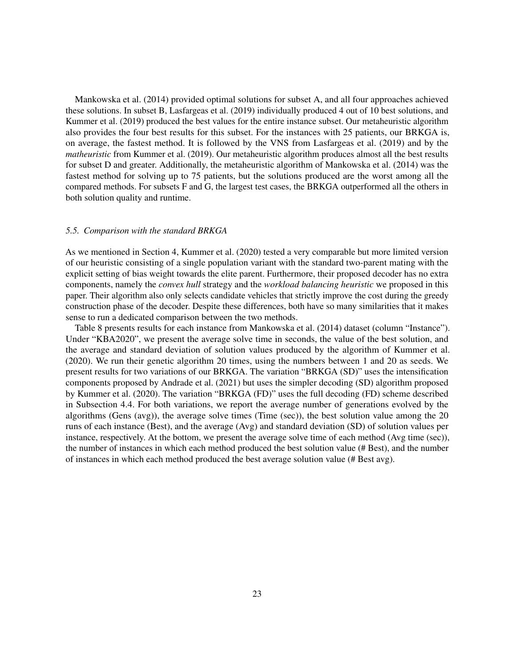[Mankowska et al.](#page-30-5) [\(2014\)](#page-30-5) provided optimal solutions for subset A, and all four approaches achieved these solutions. In subset B, [Lasfargeas et al.](#page-30-9) [\(2019\)](#page-30-9) individually produced 4 out of 10 best solutions, and [Kummer et al.](#page-30-10) [\(2019\)](#page-30-10) produced the best values for the entire instance subset. Our metaheuristic algorithm also provides the four best results for this subset. For the instances with 25 patients, our BRKGA is, on average, the fastest method. It is followed by the VNS from [Lasfargeas et al.](#page-30-9) [\(2019\)](#page-30-9) and by the *matheuristic* from [Kummer et al.](#page-30-10) [\(2019\)](#page-30-10). Our metaheuristic algorithm produces almost all the best results for subset D and greater. Additionally, the metaheuristic algorithm of [Mankowska et al.](#page-30-5) [\(2014\)](#page-30-5) was the fastest method for solving up to 75 patients, but the solutions produced are the worst among all the compared methods. For subsets F and G, the largest test cases, the BRKGA outperformed all the others in both solution quality and runtime.

## <span id="page-22-0"></span>*5.5. Comparison with the standard BRKGA*

As we mentioned in Section [4,](#page-7-0) [Kummer et al.](#page-30-11) [\(2020\)](#page-30-11) tested a very comparable but more limited version of our heuristic consisting of a single population variant with the standard two-parent mating with the explicit setting of bias weight towards the elite parent. Furthermore, their proposed decoder has no extra components, namely the *convex hull* strategy and the *workload balancing heuristic* we proposed in this paper. Their algorithm also only selects candidate vehicles that strictly improve the cost during the greedy construction phase of the decoder. Despite these differences, both have so many similarities that it makes sense to run a dedicated comparison between the two methods.

Table [8](#page-23-0) presents results for each instance from [Mankowska et al.](#page-30-5) [\(2014\)](#page-30-5) dataset (column "Instance"). Under "KBA2020", we present the average solve time in seconds, the value of the best solution, and the average and standard deviation of solution values produced by the algorithm of [Kummer et al.](#page-30-11) [\(2020\)](#page-30-11). We run their genetic algorithm 20 times, using the numbers between 1 and 20 as seeds. We present results for two variations of our BRKGA. The variation "BRKGA (SD)" uses the intensification components proposed by [Andrade et al.](#page-29-8) [\(2021\)](#page-29-8) but uses the simpler decoding (SD) algorithm proposed by [Kummer et al.](#page-30-11) [\(2020\)](#page-30-11). The variation "BRKGA (FD)" uses the full decoding (FD) scheme described in Subsection [4.4.](#page-11-1) For both variations, we report the average number of generations evolved by the algorithms (Gens (avg)), the average solve times (Time (sec)), the best solution value among the 20 runs of each instance (Best), and the average (Avg) and standard deviation (SD) of solution values per instance, respectively. At the bottom, we present the average solve time of each method (Avg time (sec)), the number of instances in which each method produced the best solution value (# Best), and the number of instances in which each method produced the best average solution value (# Best avg).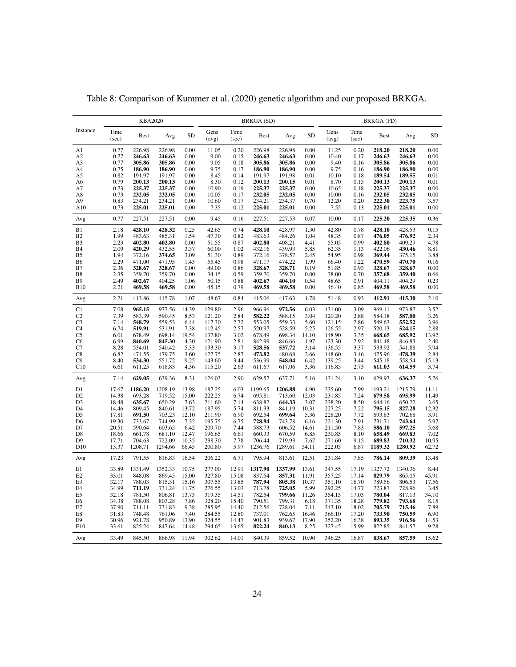|                       |                | <b>KBA2020</b>    |                   |                |                  |                | <b>BRKGA</b> (SD) |                   |                |                  |                | <b>BRKGA</b> (FD) |                   |                |
|-----------------------|----------------|-------------------|-------------------|----------------|------------------|----------------|-------------------|-------------------|----------------|------------------|----------------|-------------------|-------------------|----------------|
| Instance              | Time<br>(sec)  | <b>Best</b>       | Avg               | <b>SD</b>      | Gens<br>(avg)    | Time<br>(sec)  | <b>Best</b>       | Avg               | SD             | Gens<br>(avg)    | Time<br>(sec)  | <b>Best</b>       | Avg               | SD             |
| A1                    | 0.77           | 226.98            | 226.98            | 0.00           | 11.05            | 0.20           | 226.98            | 226.98            | 0.00           | 11.25            | 0.20           | 218.20            | 218.20            | 0.00           |
| A <sub>2</sub>        | 0.77           | 246.63            | 246.63            | 0.00           | 9.00             | 0.15           | 246.63            | 246.63            | 0.00           | 10.40            | 0.17           | 246.63            | 246.63            | 0.00           |
| A3                    | 0.77           | 305.86            | 305.86            | 0.00           | 9.05             | 0.18           | 305.86            | 305.86            | 0.00           | 9.40             | 0.16           | 305.86            | 305.86            | 0.00           |
| A4                    | 0.75           | 186.90            | 186.90            | 0.00           | 9.75             | 0.17           | 186.90            | 186.90            | 0.00           | 9.75             | 0.16           | 186.90            | 186.90            | 0.00           |
| A5                    | 0.82           | 191.97            | 191.97            | 0.00           | 8.45             | 0.14           | 191.97            | 191.98            | 0.01           | 10.10            | 0.18           | 189.54            | 189.55            | 0.01           |
| A6                    | 0.79           | 200.13            | 200.13            | 0.00           | 8.30             | 0.12           | 200.13            | 200.15            | 0.01           | 8.70             | 0.15           | 200.13            | 200.13            | 0.01           |
| A7<br>A8              | 0.73<br>0.73   | 225.37<br>232.05  | 225.37<br>232.05  | 0.00<br>0.00   | 10.90<br>10.05   | 0.19<br>0.17   | 225.37<br>232.05  | 225.37<br>232.05  | 0.00<br>0.00   | 10.65<br>10.00   | 0.18<br>0.16   | 225.37<br>232.05  | 225.37<br>232.05  | 0.00<br>0.00   |
| A9                    | 0.83           | 234.21            | 234.21            | 0.00           | 10.60            | 0.17           | 234.21            | 234.37            | 0.70           | 12.20            | 0.20           | 222.30            | 223.75            | 3.57           |
| A10                   | 0.73           | 225.01            | 225.01            | 0.00           | 7.35             | 0.12           | 225.01            | 225.01            | 0.00           | 7.55             | 0.13           | 225.01            | 225.01            | 0.00           |
| Avg                   | 0.77           | 227.51            | 227.51            | 0.00           | 9.45             | 0.16           | 227.51            | 227.53            | 0.07           | 10.00            | 0.17           | 225.20            | 225.35            | 0.36           |
| B1                    | 2.18           | 428.10            | 428.32            | 0.25           | 42.65            | 0.74           | 428.10            | 428.97            | 1.30           | 42.80            | 0.78           | 428.10            | 428.53            | 0.15           |
| B2                    | 1.99           | 483.63            | 485.31            | 1.54           | 47.30            | 0.82           | 483.63            | 484.26            | 1.04           | 48.35            | 0.87           | 476.05            | 476.92            | 2.34           |
| B <sub>3</sub>        | 2.23           | 402.80            | 402.80            | 0.00           | 51.55            | 0.87           | 402.80            | 408.21            | 4.41           | 55.05            | 0.99           | 402.80            | 409.29            | 4.78           |
| <b>B4</b>             | 2.09<br>1.94   | 420.29            | 432.55            | 3.37           | 60.00            | 1.02           | 432.16            | 439.93            | 5.85           | 62.35            | 1.13           | 422.06            | 430.46            | 8.81           |
| B5<br>B6              | 2.29           | 372.16<br>471.00  | 374.65<br>471.95  | 3.09<br>1.43   | 51.30<br>55.45   | 0.89<br>0.98   | 372.16<br>471.17  | 378.57<br>474.22  | 2.45<br>1.99   | 54.95<br>66.40   | 0.98<br>1.22   | 369.44<br>470.59  | 375.15<br>470.70  | 3.88<br>0.16   |
| B7                    | 2.36           | 328.67            | 328.67            | 0.00           | 49.00            | 0.86           | 328.67            | 328.71            | 0.19           | 51.85            | 0.93           | 328.67            | 328.67            | 0.00           |
| B8                    | 2.35           | 359.70            | 359.70            | 0.00           | 34.15            | 0.59           | 359.70            | 359.70            | 0.00           | 38.00            | 0.70           | 357.68            | 359.40            | 0.66           |
| B9                    | 2.49           | 402.67            | 404.25            | 1.06           | 50.15            | 0.88           | 402.67            | 404.10            | 0.54           | 48.65            | 0.91           | 404.11            | 404.29            | 0.23           |
| <b>B10</b>            | 2.21           | 469.58            | 469.58            | 0.00           | 45.15            | 0.79           | 469.58            | 469.58            | 0.00           | 46.40            | 0.85           | 469.58            | 469.58            | 0.00           |
| Avg                   | 2.21           | 413.86            | 415.78            | 1.07           | 48.67            | 0.84           | 415.06            | 417.63            | 1.78           | 51.48            | 0.93           | 412.91            | 415.30            | 2.10           |
| C1                    | 7.08           | 965.15            | 977.56            | 14.39          | 129.80           | 2.96           | 966.96            | 972.56            | 6.03           | 131.00           | 3.09           | 969.11            | 973.87            | 3.52           |
| C <sub>2</sub>        | 7.39           | 583.39            | 590.45            | 8.53           | 121.20           | 2.84           | 582.22            | 588.15            | 3.04           | 120.20           | 2.88           | 584.18            | 587.00            | 3.26           |
| C <sub>3</sub>        | 7.14           | 548.79            | 559.53            | 6.44           | 117.30           | 2.72           | 553.05            | 559.33            | 5.60           | 121.15           | 2.86           | 549.63            | 552.52            | 3.96           |
| C <sub>4</sub>        | 6.74           | 519.91            | 531.91            | 7.38           | 112.45           | 2.57           | 520.97            | 528.59            | 5.25           | 126.55           | 2.97           | 520.13            | 524.15            | 2.88           |
| C5                    | 6.01           | 678.49            | 698.14            | 19.54          | 137.80           | 3.02           | 678.49            | 698.34            | 14.10          | 148.90           | 3.35           | 668.65            | 685.92            | 13.92          |
| C <sub>6</sub>        | 6.99           | 840.69<br>534.01  | 845.30<br>540.42  | 4.30           | 121.90<br>133.30 | 2.81<br>3.17   | 842.99<br>528.56  | 846.66<br>537.72  | 1.97<br>3.14   | 123.30<br>136.55 | 2.92<br>3.37   | 841.48<br>533.92  | 846.83<br>541.88  | 2.40<br>5.94   |
| C7<br>C8              | 8.28<br>6.82   | 474.55            | 479.75            | 5.33<br>3.60   | 127.75           | 2.87           | 473.82            | 480.68            | 2.66           | 148.60           | 3.46           | 475.96            | 478.39            | 2.84           |
| C9                    | 8.40           | 534.30            | 551.72            | 9.25           | 143.60           | 3.44           | 536.99            | 548.04            | 6.42           | 139.25           | 3.44           | 545.18            | 558.54            | 15.13          |
| C10                   | 6.61           | 611.25            | 618.83            | 4.36           | 115.20           | 2.63           | 611.67            | 617.06            | 3.36           | 116.85           | 2.73           | 611.03            | 614.59            | 3.74           |
| Avg                   | 7.14           | 629.05            | 639.36            | 8.31           | 126.03           | 2.90           | 629.57            | 637.71            | 5.16           | 131.24           | 3.10           | 629.93            | 636.37            | 5.76           |
| D1                    | 17.67          | 1186.20           | 1208.19           | 13.98          | 187.25           | 6.03           | 1199.65           | 1206.88           | 4.90           | 235.60           | 7.99           | 1193.21           | 1215.79           | 11.11          |
| D <sub>2</sub>        | 14.38          | 693.28            | 719.52            | 15.00          | 222.25           | 6.74           | 695.81            | 713.60            | 12.03          | 231.85           | 7.24           | 679.58            | 695.99            | 11.49          |
| D <sub>3</sub>        | 18.48          | 635.67            | 650.29            | 7.63           | 211.60           | 7.14           | 638.82            | 644.33            | 3.07           | 238.20           | 8.50           | 644.16            | 650.22            | 3.65           |
| D4                    | 14.46          | 809.45            | 840.61            | 13.72          | 187.95           | 5.74           | 811.33            | 841.19            | 10.31          | 227.25           | 7.22           | 795.15            | 827.28            | 12.32          |
| D <sub>5</sub>        | 17.81          | 691.50            | 703.23            | 12.10          | 211.90           | 6.90           | 692.54            | 699.64            | 5.36           | 228.20           | 7.72           | 693.83            | 702.68            | 3.91           |
| D <sub>6</sub>        | 19.30          | 733.67            | 744.99            | 7.32           | 195.75           | 6.75           | 728.94            | 743.78            | 6.16           | 221.30           | 7.91           | 731.71            | 743.64            | 5.97           |
| D7                    | 20.51          | 590.64            | 603.65            | 6.42           | 209.70           | 7.44           | 588.73            | 606.52            | 14.61          | 211.50           | 7.83           | 586.10            | 597.25            | 5.68           |
| D8                    | 18.66          | 661.78            | 681.10            | 12.47          | 196.65           | 6.61           | 660.33            | 670.59            | 6.85           | 230.85           | 8.10           | 658.49            | 669.83            | 7.02           |
| D <sub>9</sub><br>D10 | 17.71<br>13.37 | 704.63<br>1208.71 | 722.09<br>1294.66 | 10.35<br>66.45 | 238.30<br>200.80 | 7.78<br>5.97   | 706.44<br>1236.76 | 719.93<br>1289.61 | 7.67<br>54.11  | 271.60<br>222.05 | 9.15<br>6.87   | 689.83<br>1189.32 | 710.32<br>1280.92 | 10.95<br>62.72 |
| Avg                   | 17.23          | 791.55            | 816.83            | 16.54          | 206.22           | 6.71           | 795.94            | 813.61            | 12.51          | 231.84           | 7.85           | 786.14            | 809.39            | 13.48          |
| E1                    | 33.89          | 1331.49           | 1352.33           | 10.75          | 277.00           | 12.91          | 1317.90           | 1337.99           | 13.61          | 347.55           | 17.19          | 1327.72           | 1340.36           | 8.44           |
| E <sub>2</sub>        | 33.01          | 848.08            | 869.45            | 15.00          | 327.80           | 15.08          | 837.54            | 857.31            | 11.91          | 357.25           | 17.14          | 829.79            | 865.05            | 45.91          |
| E3                    | 32.17          | 788.03            | 815.31            | 15.16          | 307.55           | 13.85          | 787.94            | 805.38            | 10.37          | 351.10           | 16.70          | 789.56            | 806.53            | 17.56          |
| E4                    | 34.99          | 711.19            | 731.24            | 11.75          | 276.55           | 13.03          | 713.78            | 725.05            | 5.99           | 292.25           | 14.77          | 723.87            | 728.96            | 3.45           |
| E5                    | 32.18          | 781.50            | 806.81            | 13.73          | 319.35           | 14.51          | 782.54            | 799.66            | 11.26          | 354.15           | 17.03          | 780.04            | 817.13            | 34.10          |
| E6                    | 34.38          | 788.08            | 803.28            | 7.86           | 328.20           | 15.40          | 790.51            | 799.31            | 6.18           | 371.35           | 18.28          | 779.82            | 793.68            | 8.15           |
| E7                    | 37.90          | 711.11            | 731.83            | 9.38           | 285.95           | 14.40          | 712.56            | 728.04            | 7.11           | 343.10           | 18.02          | 705.79            | 715.46            | 7.89           |
| E8<br>E <sub>9</sub>  | 31.83<br>30.96 | 748.48<br>921.78  | 761.06<br>950.89  | 7.40<br>13.90  | 284.55<br>324.55 | 12.80<br>14.47 | 737.01<br>901.83  | 762.65<br>939.67  | 16.46<br>17.90 | 366.10<br>352.20 | 17.20<br>16.38 | 733.90<br>893.35  | 750.59<br>916.56  | 6.90<br>14.53  |
| E10                   | 33.61          | 825.24            | 847.64            | 14.48          | 294.65           | 13.65          | 822.24            | 840.13            | 8.25           | 327.45           | 15.99          | 822.85            | 841.57            | 9.28           |
| Avg                   | 33.49          | 845.50            | 866.98            | 11.94          | 302.62           | 14.01          | 840.39            | 859.52            | 10.90          | 346.25           | 16.87          | 838.67            | 857.59            | 15.62          |

<span id="page-23-0"></span>Table 8: Comparison of [Kummer et al.](#page-30-11) [\(2020\)](#page-30-11) genetic algorithm and our proposed BRKGA.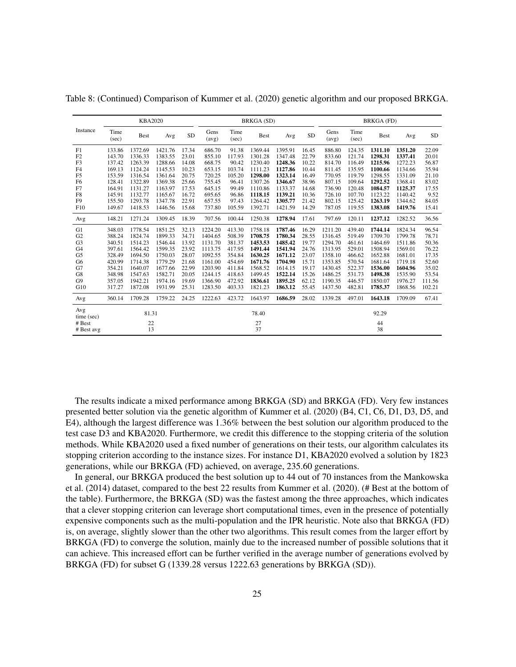|                   |               | <b>KBA2020</b> |         |           |               |               | BRKGA (SD)  |         |           |               |               | <b>BRKGA</b> (FD) |         |        |
|-------------------|---------------|----------------|---------|-----------|---------------|---------------|-------------|---------|-----------|---------------|---------------|-------------------|---------|--------|
| Instance          | Time<br>(sec) | <b>Best</b>    | Avg     | <b>SD</b> | Gens<br>(avg) | Time<br>(sec) | <b>Best</b> | Avg     | <b>SD</b> | Gens<br>(avg) | Time<br>(sec) | <b>Best</b>       | Avg     | SD     |
| F1                | 133.86        | 1372.69        | 1421.76 | 17.34     | 686.70        | 91.38         | 1369.44     | 1395.91 | 16.45     | 886.80        | 124.35        | 1311.10           | 1351.20 | 22.09  |
| F2                | 143.70        | 1336.33        | 1383.55 | 23.01     | 855.10        | 117.93        | 1301.28     | 1347.48 | 22.79     | 833.60        | 121.74        | 1298.31           | 1337.41 | 20.01  |
| F <sub>3</sub>    | 137.42        | 1263.39        | 1288.66 | 14.08     | 668.75        | 90.42         | 1230.40     | 1248.36 | 10.22     | 814.70        | 116.49        | 1215.96           | 1272.23 | 56.87  |
| F <sub>4</sub>    | 169.13        | 1124.24        | 1145.53 | 10.23     | 653.15        | 103.74        | 1111.23     | 1127.86 | 10.44     | 811.45        | 135.95        | 1100.66           | 1134.66 | 35.94  |
| F <sub>5</sub>    | 153.59        | 1316.54        | 1361.64 | 20.75     | 720.25        | 105.20        | 1298.00     | 1323.14 | 16.49     | 770.95        | 119.79        | 1298.55           | 1331.09 | 21.10  |
| F <sub>6</sub>    | 128.41        | 1322.89        | 1369.38 | 25.66     | 755.45        | 96.41         | 1307.26     | 1346.67 | 38.96     | 807.15        | 109.64        | 1292.52           | 1368.41 | 83.02  |
| F7                | 164.91        | 1131.27        | 1163.97 | 17.53     | 645.15        | 99.49         | 1110.86     | 1133.37 | 14.68     | 736.90        | 120.48        | 1084.57           | 1125.37 | 17.55  |
| F8                | 145.91        | 1132.77        | 1165.67 | 16.72     | 695.65        | 96.86         | 1118.15     | 1139.21 | 10.36     | 726.10        | 107.70        | 1123.22           | 1140.42 | 9.52   |
| F <sub>9</sub>    | 155.50        | 1293.78        | 1347.78 | 22.91     | 657.55        | 97.43         | 1264.42     | 1305.77 | 21.42     | 802.15        | 125.42        | 1263.19           | 1344.62 | 84.05  |
| F10               | 149.67        | 1418.53        | 1446.56 | 15.68     | 737.80        | 105.59        | 1392.71     | 1421.59 | 14.29     | 787.05        | 119.55        | 1383.08           | 1419.76 | 15.41  |
| Avg               | 148.21        | 1271.24        | 1309.45 | 18.39     | 707.56        | 100.44        | 1250.38     | 1278.94 | 17.61     | 797.69        | 120.11        | 1237.12           | 1282.52 | 36.56  |
| G1                | 348.03        | 1778.54        | 1851.25 | 32.13     | 1224.20       | 413.30        | 1758.18     | 1787.46 | 16.29     | 1211.20       | 439.40        | 1744.14           | 1824.34 | 96.54  |
| G <sub>2</sub>    | 388.24        | 1824.74        | 1899.33 | 34.71     | 1404.65       | 508.39        | 1708.75     | 1780.34 | 28.55     | 1316.45       | 519.49        | 1709.70           | 1799.78 | 78.71  |
| G <sub>3</sub>    | 340.51        | 1514.23        | 1546.44 | 13.92     | 1131.70       | 381.37        | 1453.53     | 1485.42 | 19.77     | 1294.70       | 461.61        | 1464.69           | 1511.86 | 50.36  |
| G <sub>4</sub>    | 397.61        | 1564.42        | 1599.35 | 23.92     | 1113.75       | 417.95        | 1491.44     | 1541.94 | 24.76     | 1313.95       | 529.01        | 1508.94           | 1569.01 | 76.22  |
| G <sub>5</sub>    | 328.49        | 1694.50        | 1750.03 | 28.07     | 1092.55       | 354.84        | 1630.25     | 1671.12 | 23.07     | 1358.10       | 466.62        | 1652.88           | 1681.01 | 17.35  |
| G <sub>6</sub>    | 420.99        | 1714.38        | 1779.29 | 21.68     | 1161.00       | 454.69        | 1671.76     | 1704.90 | 15.71     | 1353.85       | 570.54        | 1681.64           | 1719.18 | 52.60  |
| G7                | 354.21        | 1640.07        | 1677.66 | 22.99     | 1203.90       | 411.84        | 1568.52     | 1614.15 | 19.17     | 1430.45       | 522.37        | 1536.00           | 1604.96 | 35.02  |
| G8                | 348.98        | 1547.63        | 1582.71 | 20.05     | 1244.15       | 418.63        | 1499.45     | 1522.14 | 15.26     | 1486.25       | 531.73        | 1498.38           | 1535.90 | 53.54  |
| G <sub>9</sub>    | 357.05        | 1942.21        | 1974.16 | 19.69     | 1366.90       | 472.92        | 1836.61     | 1895.25 | 62.12     | 1190.35       | 446.57        | 1850.07           | 1976.27 | 111.56 |
| G10               | 317.27        | 1872.08        | 1931.99 | 25.31     | 1283.50       | 403.33        | 1821.23     | 1863.12 | 55.45     | 1437.50       | 482.81        | 1785.37           | 1868.56 | 102.21 |
| Avg               | 360.14        | 1709.28        | 1759.22 | 24.25     | 1222.63       | 423.72        | 1643.97     | 1686.59 | 28.02     | 1339.28       | 497.01        | 1643.18           | 1709.09 | 67.41  |
| Avg<br>time (sec) |               | 81.31          |         |           |               |               | 78.40       |         |           |               |               | 92.29             |         |        |
| # Best            |               | 22             |         |           |               |               | 27          |         |           |               |               | 44                |         |        |
|                   |               | 13             |         |           |               |               | 37          |         |           |               |               | 38                |         |        |
| # Best avg        |               |                |         |           |               |               |             |         |           |               |               |                   |         |        |

Table [8:](#page-23-0) (Continued) Comparison of [Kummer et al.](#page-30-11) [\(2020\)](#page-30-11) genetic algorithm and our proposed BRKGA.

The results indicate a mixed performance among BRKGA (SD) and BRKGA (FD). Very few instances presented better solution via the genetic algorithm of [Kummer et al.](#page-30-11) [\(2020\)](#page-30-11) (B4, C1, C6, D1, D3, D5, and E4), although the largest difference was 1.36% between the best solution our algorithm produced to the test case D3 and KBA2020. Furthermore, we credit this difference to the stopping criteria of the solution methods. While KBA2020 used a fixed number of generations on their tests, our algorithm calculates its stopping criterion according to the instance sizes. For instance D1, KBA2020 evolved a solution by 1823 generations, while our BRKGA (FD) achieved, on average, 235.60 generations.

In general, our BRKGA produced the best solution up to 44 out of 70 instances from the [Mankowska](#page-30-5) [et al.](#page-30-5) [\(2014\)](#page-30-5) dataset, compared to the best 22 results from [Kummer et al.](#page-30-11) [\(2020\)](#page-30-11). (# Best at the bottom of the table). Furthermore, the BRKGA (SD) was the fastest among the three approaches, which indicates that a clever stopping criterion can leverage short computational times, even in the presence of potentially expensive components such as the multi-population and the IPR heuristic. Note also that BRKGA (FD) is, on average, slightly slower than the other two algorithms. This result comes from the larger effort by BRKGA (FD) to converge the solution, mainly due to the increased number of possible solutions that it can achieve. This increased effort can be further verified in the average number of generations evolved by BRKGA (FD) for subset G (1339.28 versus 1222.63 generations by BRKGA (SD)).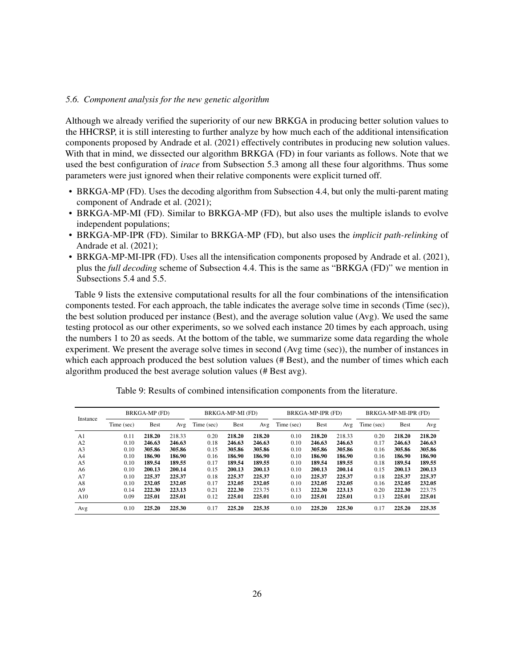# *5.6. Component analysis for the new genetic algorithm*

Although we already verified the superiority of our new BRKGA in producing better solution values to the HHCRSP, it is still interesting to further analyze by how much each of the additional intensification components proposed by [Andrade et al.](#page-29-8) [\(2021\)](#page-29-8) effectively contributes in producing new solution values. With that in mind, we dissected our algorithm BRKGA (FD) in four variants as follows. Note that we used the best configuration of *irace* from Subsection [5.3](#page-17-1) among all these four algorithms. Thus some parameters were just ignored when their relative components were explicit turned off.

- BRKGA-MP (FD). Uses the decoding algorithm from Subsection [4.4,](#page-11-1) but only the multi-parent mating component of [Andrade et al.](#page-29-8) [\(2021\)](#page-29-8);
- BRKGA-MP-MI (FD). Similar to BRKGA-MP (FD), but also uses the multiple islands to evolve independent populations;
- BRKGA-MP-IPR (FD). Similar to BRKGA-MP (FD), but also uses the *implicit path-relinking* of [Andrade et al.](#page-29-8) [\(2021\)](#page-29-8);
- BRKGA-MP-MI-IPR (FD). Uses all the intensification components proposed by [Andrade et al.](#page-29-8) [\(2021\)](#page-29-8), plus the *full decoding* scheme of Subsection [4.4.](#page-11-1) This is the same as "BRKGA (FD)" we mention in Subsections [5.4](#page-19-0) and [5.5.](#page-22-0)

Table [9](#page-25-0) lists the extensive computational results for all the four combinations of the intensification components tested. For each approach, the table indicates the average solve time in seconds (Time (sec)), the best solution produced per instance (Best), and the average solution value (Avg). We used the same testing protocol as our other experiments, so we solved each instance 20 times by each approach, using the numbers 1 to 20 as seeds. At the bottom of the table, we summarize some data regarding the whole experiment. We present the average solve times in second (Avg time (sec)), the number of instances in which each approach produced the best solution values (# Best), and the number of times which each algorithm produced the best average solution values (# Best avg).

<span id="page-25-0"></span>

|                |            | BRKGA-MP (FD) |        |            | BRKGA-MP-MI (FD) |        |            | BRKGA-MP-IPR (FD) |        | BRKGA-MP-MI-IPR (FD) |             |        |  |
|----------------|------------|---------------|--------|------------|------------------|--------|------------|-------------------|--------|----------------------|-------------|--------|--|
| Instance       | Time (sec) | <b>Best</b>   | Avg    | Time (sec) | <b>Best</b>      | Avg    | Time (sec) | <b>Best</b>       | Avg    | Time (sec)           | <b>Best</b> | Avg    |  |
| A <sub>1</sub> | 0.11       | 218.20        | 218.33 | 0.20       | 218.20           | 218.20 | 0.10       | 218.20            | 218.33 | 0.20                 | 218.20      | 218.20 |  |
| A2             | 0.10       | 246.63        | 246.63 | 0.18       | 246.63           | 246.63 | 0.10       | 246.63            | 246.63 | 0.17                 | 246.63      | 246.63 |  |
| A <sub>3</sub> | 0.10       | 305.86        | 305.86 | 0.15       | 305.86           | 305.86 | 0.10       | 305.86            | 305.86 | 0.16                 | 305.86      | 305.86 |  |
| A <sub>4</sub> | 0.10       | 186.90        | 186.90 | 0.16       | 186.90           | 186.90 | 0.10       | 186.90            | 186.90 | 0.16                 | 186.90      | 186.90 |  |
| A <sub>5</sub> | 0.10       | 189.54        | 189.55 | 0.17       | 189.54           | 189.55 | 0.10       | 189.54            | 189.55 | 0.18                 | 189.54      | 189.55 |  |
| A6             | 0.10       | 200.13        | 200.14 | 0.15       | 200.13           | 200.13 | 0.10       | 200.13            | 200.14 | 0.15                 | 200.13      | 200.13 |  |
| A7             | 0.10       | 225.37        | 225.37 | 0.18       | 225.37           | 225.37 | 0.10       | 225.37            | 225.37 | 0.18                 | 225.37      | 225.37 |  |
| A8             | 0.10       | 232.05        | 232.05 | 0.17       | 232.05           | 232.05 | 0.10       | 232.05            | 232.05 | 0.16                 | 232.05      | 232.05 |  |
| A <sub>9</sub> | 0.14       | 222.30        | 223.13 | 0.21       | 222.30           | 223.75 | 0.13       | 222.30            | 223.13 | 0.20                 | 222.30      | 223.75 |  |
| A10            | 0.09       | 225.01        | 225.01 | 0.12       | 225.01           | 225.01 | 0.10       | 225.01            | 225.01 | 0.13                 | 225.01      | 225.01 |  |
| Avg            | 0.10       | 225.20        | 225.30 | 0.17       | 225.20           | 225.35 | 0.10       | 225.20            | 225.30 | 0.17                 | 225.20      | 225.35 |  |

Table 9: Results of combined intensification components from the literature.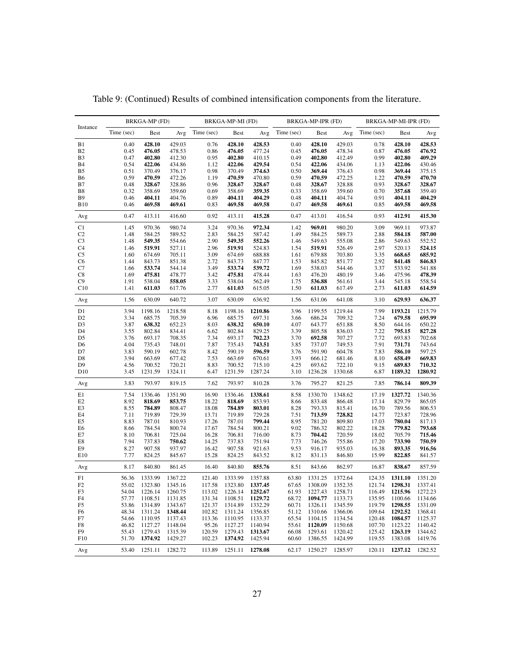| Instance        | BRKGA-MP (FD)  |                    |                    | BRKGA-MP-MI (FD) |                    |                    | BRKGA-MP-IPR (FD) |                    |                    | BRKGA-MP-MI-IPR (FD) |                    |                    |  |
|-----------------|----------------|--------------------|--------------------|------------------|--------------------|--------------------|-------------------|--------------------|--------------------|----------------------|--------------------|--------------------|--|
|                 | Time (sec)     | <b>Best</b>        | Avg                | Time (sec)       | <b>Best</b>        | Avg                | Time (sec)        | <b>Best</b>        | Avg                | Time (sec)           | Best               | Avg                |  |
| B1              | 0.40           | 428.10             | 429.03             | 0.76             | 428.10             | 428.53             | 0.40              | 428.10             | 429.03             | 0.78                 | 428.10             | 428.53             |  |
| <b>B2</b>       | 0.45           | 476.05             | 478.53             | 0.86             | 476.05             | 477.24             | 0.45              | 476.05             | 478.34             | 0.87                 | 476.05             | 476.92             |  |
| B <sub>3</sub>  | 0.47           | 402.80             | 412.30             | 0.95             | 402.80             | 410.15             | 0.49              | 402.80             | 412.49             | 0.99                 | 402.80             | 409.29             |  |
| <b>B</b> 4      | 0.54           | 422.06             | 434.86             | 1.12             | 422.06             | 429.54             | 0.54              | 422.06             | 434.06             | 1.13                 | 422.06             | 430.46             |  |
| B5              | 0.51           | 370.49             | 376.17             | 0.98             | 370.49             | 374.63             | 0.50              | 369.44             | 376.43             | 0.98                 | 369.44             | 375.15             |  |
| <b>B6</b>       | 0.59           | 470.59             | 472.26             | 1.19             | 470.59             | 470.80             | 0.59              | 470.59             | 472.25             | 1.22                 | 470.59             | 470.70             |  |
| B7              | 0.48           | 328.67             | 328.86             | 0.96             | 328.67             | 328.67             | 0.48              | 328.67             | 328.88             | 0.93                 | 328.67             | 328.67             |  |
| B8              | 0.32           | 358.69             | 359.60             | 0.69             | 358.69             | 359.35             | 0.33              | 358.69             | 359.60             | 0.70                 | 357.68             | 359.40             |  |
| B9              | 0.46           | 404.11<br>469.58   | 404.76             | 0.89             | 404.11<br>469.58   | 404.29<br>469.58   | 0.48              | 404.11<br>469.58   | 404.74<br>469.61   | 0.91                 | 404.11<br>469.58   | 404.29<br>469.58   |  |
| <b>B10</b>      | 0.46           |                    | 469.61             | 0.83             |                    |                    | 0.47              |                    |                    | 0.85                 |                    |                    |  |
| Avg             | 0.47           | 413.11             | 416.60             | 0.92             | 413.11             | 415.28             | 0.47              | 413.01             | 416.54             | 0.93                 | 412.91             | 415.30             |  |
| C1              | 1.45           | 970.36             | 980.74             | 3.24             | 970.36             | 972.34             | 1.42              | 969.01             | 980.20             | 3.09                 | 969.11             | 973.87             |  |
| C <sub>2</sub>  | 1.48           | 584.25             | 589.52             | 2.83             | 584.25             | 587.42             | 1.49              | 584.25             | 589.73             | 2.88                 | 584.18             | 587.00             |  |
| C <sub>3</sub>  | 1.48           | 549.35             | 554.66             | 2.90             | 549.35             | 552.26             | 1.46              | 549.63             | 555.08             | 2.86                 | 549.63             | 552.52             |  |
| C4              | 1.46           | 519.91             | 527.11             | 2.96             | 519.91             | 524.83             | 1.54              | 519.91             | 526.49             | 2.97                 | 520.13             | 524.15             |  |
| C5<br>C6        | 1.60<br>1.44   | 674.69<br>843.73   | 705.11<br>851.38   | 3.09<br>2.72     | 674.69<br>843.73   | 688.88<br>847.77   | 1.61<br>1.53      | 679.88<br>845.82   | 703.80<br>851.77   | 3.35<br>2.92         | 668.65<br>841.48   | 685.92<br>846.83   |  |
| C7              | 1.66           | 533.74             | 544.14             | 3.49             | 533.74             | 539.72             | 1.69              | 538.03             | 544.46             | 3.37                 | 533.92             | 541.88             |  |
| C8              | 1.69           | 475.81             | 478.77             | 3.42             | 475.81             | 478.44             | 1.63              | 476.20             | 480.19             | 3.46                 | 475.96             | 478.39             |  |
| C9              | 1.91           | 538.04             | 558.05             | 3.33             | 538.04             | 562.49             | 1.75              | 536.88             | 561.61             | 3.44                 | 545.18             | 558.54             |  |
| C10             | 1.41           | 611.03             | 617.76             | 2.77             | 611.03             | 615.05             | 1.50              | 611.03             | 617.49             | 2.73                 | 611.03             | 614.59             |  |
| Avg             | 1.56           | 630.09             | 640.72             | 3.07             | 630.09             | 636.92             | 1.56              | 631.06             | 641.08             | 3.10                 | 629.93             | 636.37             |  |
| D1              | 3.94           | 1198.16            | 1218.58            | 8.18             | 1198.16            | 1210.86            | 3.96              | 1199.55            | 1219.44            | 7.99                 | 1193.21            | 1215.79            |  |
| D <sub>2</sub>  | 3.34           | 685.75             | 705.39             | 6.96             | 685.75             | 697.31             | 3.66              | 686.24             | 709.32             | 7.24                 | 679.58             | 695.99             |  |
| D <sub>3</sub>  | 3.87           | 638.32             | 652.23             | 8.03             | 638.32             | 650.10             | 4.07              | 643.77             | 651.88             | 8.50                 | 644.16             | 650.22             |  |
| D4              | 3.55           | 802.84             | 834.41             | 6.62             | 802.84             | 829.25             | 3.39              | 805.58             | 836.03             | 7.22                 | 795.15             | 827.28             |  |
| D5              | 3.76           | 693.17             | 708.35             | 7.34             | 693.17             | 702.23             | 3.70              | 692.58             | 707.27             | 7.72                 | 693.83             | 702.68             |  |
| D <sub>6</sub>  | 4.04           | 735.43             | 748.01             | 7.87             | 735.43             | 743.51             | 3.85              | 737.07             | 749.53             | 7.91                 | 731.71             | 743.64             |  |
| D7              | 3.83           | 590.19             | 602.78             | 8.42             | 590.19             | 596.59             | 3.76              | 591.90             | 604.78             | 7.83                 | 586.10             | 597.25             |  |
| D8              | 3.94           | 663.69             | 677.42             | 7.53             | 663.69             | 670.61             | 3.93              | 666.12             | 681.46             | 8.10                 | 658.49             | 669.83             |  |
| D <sub>9</sub>  | 4.56           | 700.52             | 720.21             | 8.83             | 700.52             | 715.10             | 4.25              | 693.62             | 722.10             | 9.15                 | 689.83             | 710.32             |  |
| D <sub>10</sub> | 3.45           | 1231.59            | 1324.11            | 6.47             | 1231.59            | 1287.24            | 3.10              | 1236.28            | 1330.68            | 6.87                 | 1189.32            | 1280.92            |  |
| Avg             | 3.83           | 793.97             | 819.15             | 7.62             | 793.97             | 810.28             | 3.76              | 795.27             | 821.25             | 7.85                 | 786.14             | 809.39             |  |
| E1              | 7.54           | 1336.46            | 1351.90            | 16.90            | 1336.46            | 1338.61            | 8.58              | 1330.70            | 1348.62            | 17.19                | 1327.72            | 1340.36            |  |
| E2              | 8.92           | 818.69             | 853.75             | 18.22            | 818.69             | 853.93             | 8.66              | 833.48             | 866.48             | 17.14                | 829.79             | 865.05             |  |
| E3              | 8.55           | 784.89             | 808.47             | 18.08            | 784.89             | 803.01             | 8.28              | 793.33             | 815.41             | 16.70                | 789.56             | 806.53             |  |
| E4              | 7.11           | 719.89             | 729.39             | 13.71            | 719.89             | 729.28             | 7.51              | 713.59             | 728.82             | 14.77                | 723.87             | 728.96             |  |
| E5              | 8.83           | 787.01<br>784.54   | 810.93<br>800.74   | 17.26<br>17.67   | 787.01<br>784.54   | 799.44<br>800.21   | 8.95<br>9.02      | 781.20<br>786.32   | 809.80<br>802.22   | 17.03<br>18.28       | 780.04<br>779.82   | 817.13<br>793.68   |  |
| E6<br>E7        | 8.66<br>8.10   | 706.81             | 725.04             | 16.28            | 706.81             | 716.00             | 8.73              | 704.42             | 720.59             | 18.02                | 705.79             | 715.46             |  |
| E8              | 7.94           | 737.83             | 750.62             | 14.25            | 737.83             | 751.94             | 7.73              | 746.26             | 755.86             | 17.20                | 733.90             | 750.59             |  |
| E9              | 8.27           | 907.58             | 937.97             | 16.42            | 907.58             | 921.63             | 9.53              | 916.17             | 935.03             | 16.38                | 893.35             | 916.56             |  |
| E10             | 7.77           | 824.25             | 845.67             | 15.28            | 824.25             | 843.52             | 8.12              | 831.13             | 846.80             | 15.99                | 822.85             | 841.57             |  |
| Avg             | 8.17           | 840.80             | 861.45             | 16.40            | 840.80             | 855.76             | 8.51              | 843.66             | 862.97             | 16.87                | 838.67             | 857.59             |  |
| F1              | 56.36          | 1333.99            | 1367.22            | 121.40           | 1333.99            | 1357.88            | 63.80             | 1331.25            | 1372.64            | 124.35               | 1311.10            | 1351.20            |  |
| F <sub>2</sub>  | 55.02          | 1323.80            | 1345.16            | 117.58           | 1323.80            | 1337.45            | 67.65             | 1308.09            | 1352.35            | 121.74               | 1298.31            | 1337.41            |  |
| F3              | 54.04          | 1226.14            | 1260.75            | 113.02           | 1226.14            | 1252.67            | 61.93             | 1227.43            | 1258.71            | 116.49               | 1215.96            | 1272.23            |  |
| F4              | 57.77          | 1108.51            | 1131.85            | 131.34           | 1108.51            | 1129.72            | 68.72             | 1094.77            | 1133.73            | 135.95               | 1100.66            | 1134.66            |  |
| F5              | 53.86          | 1314.89            | 1343.67            | 121.37           | 1314.89            | 1332.29            | 60.71             | 1326.11            | 1345.59            | 119.79               | 1298.55            | 1331.09            |  |
| F6              | 48.34          | 1311.24            | 1348.44            | 102.82           | 1311.24            | 1356.85            | 51.12             | 1310.66            | 1366.06            | 109.64               | 1292.52            | 1368.41<br>1125.37 |  |
| F7<br>F8        | 54.66<br>46.82 | 1110.95<br>1127.27 | 1137.43<br>1148.04 | 113.36<br>95.26  | 1110.95<br>1127.27 | 1133.37<br>1140.94 | 65.54<br>55.61    | 1104.15<br>1120.09 | 1134.54<br>1150.68 | 120.48<br>107.70     | 1084.57<br>1123.22 | 1140.42            |  |
| F9              | 55.43          | 1279.43            | 1315.39            | 120.59           | 1279.43            | 1313.67            | 66.08             | 1293.61            | 1320.42            | 125.42               | 1263.19            | 1344.62            |  |
| F10             | 51.70          | 1374.92            | 1429.27            | 102.23           | 1374.92            | 1425.94            | 60.60             | 1386.55            | 1424.99            | 119.55               | 1383.08            | 1419.76            |  |
| Avg             | 53.40          | 1251.11            | 1282.72            | 113.89           | 1251.11            | 1278.08            | 62.17             | 1250.27            | 1285.97            | 120.11               | 1237.12            | 1282.52            |  |

Table [9:](#page-25-0) (Continued) Results of combined intensification components from the literature.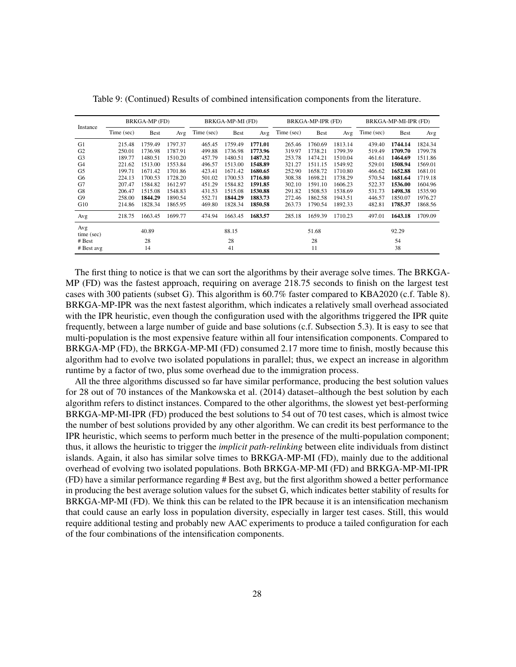| Instance          | BRKGA-MP (FD) |             |         | BRKGA-MP-MI (FD) |             |         | BRKGA-MP-IPR (FD) |         |         | BRKGA-MP-MI-IPR (FD) |         |         |
|-------------------|---------------|-------------|---------|------------------|-------------|---------|-------------------|---------|---------|----------------------|---------|---------|
|                   | Time (sec)    | <b>Best</b> | Avg     | Time (sec)       | <b>Best</b> | Avg     | Time (sec)        | Best    | Avg     | Time (sec)           | Best    | Avg     |
| G1                | 215.48        | 1759.49     | 1797.37 | 465.45           | 1759.49     | 1771.01 | 265.46            | 1760.69 | 1813.14 | 439.40               | 1744.14 | 1824.34 |
| G2                | 250.01        | 1736.98     | 1787.91 | 499.88           | 1736.98     | 1773.96 | 319.97            | 1738.21 | 1799.39 | 519.49               | 1709.70 | 1799.78 |
| G <sub>3</sub>    | 189.77        | 1480.51     | 1510.20 | 457.79           | 1480.51     | 1487.32 | 253.78            | 1474.21 | 1510.04 | 461.61               | 1464.69 | 1511.86 |
| G4                | 221.62        | 1513.00     | 1553.84 | 496.57           | 1513.00     | 1548.89 | 321.27            | 1511.15 | 1549.92 | 529.01               | 1508.94 | 1569.01 |
| G5                | 199.71        | 1671.42     | 1701.86 | 423.41           | 1671.42     | 1680.65 | 252.90            | 1658.72 | 1710.80 | 466.62               | 1652.88 | 1681.01 |
| G6                | 224.13        | 1700.53     | 1728.20 | 501.02           | 1700.53     | 1716.80 | 308.38            | 1698.21 | 1738.29 | 570.54               | 1681.64 | 1719.18 |
| G7                | 207.47        | 1584.82     | 1612.97 | 451.29           | 1584.82     | 1591.85 | 302.10            | 1591.10 | 1606.23 | 522.37               | 1536.00 | 1604.96 |
| G8                | 206.47        | 1515.08     | 1548.83 | 431.53           | 1515.08     | 1530.88 | 291.82            | 1508.53 | 1538.69 | 531.73               | 1498.38 | 1535.90 |
| G9                | 258.00        | 1844.29     | 1890.54 | 552.71           | 1844.29     | 1883.73 | 272.46            | 1862.58 | 1943.51 | 446.57               | 1850.07 | 1976.27 |
| G10               | 214.86        | 1828.34     | 1865.95 | 469.80           | 1828.34     | 1850.58 | 263.73            | 1790.54 | 1892.33 | 482.81               | 1785.37 | 1868.56 |
| Avg               | 218.75        | 1663.45     | 1699.77 | 474.94           | 1663.45     | 1683.57 | 285.18            | 1659.39 | 1710.23 | 497.01               | 1643.18 | 1709.09 |
| Avg<br>time (sec) | 40.89         |             |         | 88.15            |             |         | 51.68             |         |         | 92.29                |         |         |
| # Best            | 28            |             |         | 28               |             |         | 28                |         |         | 54                   |         |         |
| # Best avg        | 14            |             |         | 41               |             |         | 11                |         |         | 38                   |         |         |

Table [9:](#page-25-0) (Continued) Results of combined intensification components from the literature.

The first thing to notice is that we can sort the algorithms by their average solve times. The BRKGA-MP (FD) was the fastest approach, requiring on average 218.75 seconds to finish on the largest test cases with 300 patients (subset G). This algorithm is 60.7% faster compared to KBA2020 (c.f. Table [8\)](#page-23-0). BRKGA-MP-IPR was the next fastest algorithm, which indicates a relatively small overhead associated with the IPR heuristic, even though the configuration used with the algorithms triggered the IPR quite frequently, between a large number of guide and base solutions (c.f. Subsection [5.3\)](#page-17-1). It is easy to see that multi-population is the most expensive feature within all four intensification components. Compared to BRKGA-MP (FD), the BRKGA-MP-MI (FD) consumed 2.17 more time to finish, mostly because this algorithm had to evolve two isolated populations in parallel; thus, we expect an increase in algorithm runtime by a factor of two, plus some overhead due to the immigration process.

All the three algorithms discussed so far have similar performance, producing the best solution values for 28 out of 70 instances of the [Mankowska et al.](#page-30-5) [\(2014\)](#page-30-5) dataset–although the best solution by each algorithm refers to distinct instances. Compared to the other algorithms, the slowest yet best-performing BRKGA-MP-MI-IPR (FD) produced the best solutions to 54 out of 70 test cases, which is almost twice the number of best solutions provided by any other algorithm. We can credit its best performance to the IPR heuristic, which seems to perform much better in the presence of the multi-population component; thus, it allows the heuristic to trigger the *implicit path-relinking* between elite individuals from distinct islands. Again, it also has similar solve times to BRKGA-MP-MI (FD), mainly due to the additional overhead of evolving two isolated populations. Both BRKGA-MP-MI (FD) and BRKGA-MP-MI-IPR (FD) have a similar performance regarding # Best avg, but the first algorithm showed a better performance in producing the best average solution values for the subset G, which indicates better stability of results for BRKGA-MP-MI (FD). We think this can be related to the IPR because it is an intensification mechanism that could cause an early loss in population diversity, especially in larger test cases. Still, this would require additional testing and probably new AAC experiments to produce a tailed configuration for each of the four combinations of the intensification components.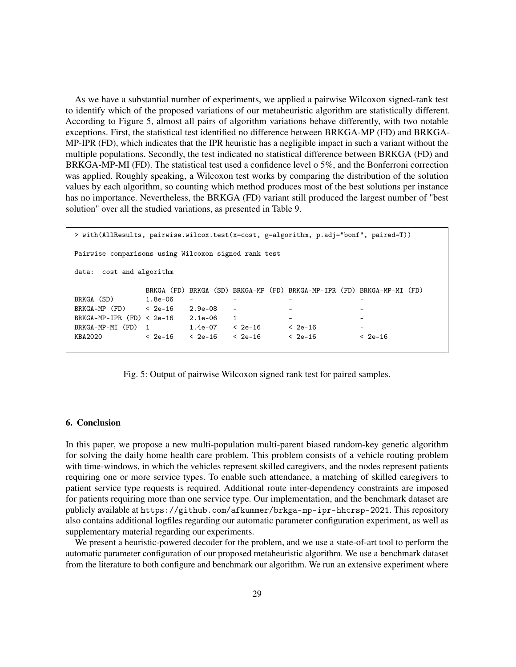As we have a substantial number of experiments, we applied a pairwise Wilcoxon signed-rank test to identify which of the proposed variations of our metaheuristic algorithm are statistically different. According to Figure [5,](#page-28-1) almost all pairs of algorithm variations behave differently, with two notable exceptions. First, the statistical test identified no difference between BRKGA-MP (FD) and BRKGA-MP-IPR (FD), which indicates that the IPR heuristic has a negligible impact in such a variant without the multiple populations. Secondly, the test indicated no statistical difference between BRKGA (FD) and BRKGA-MP-MI (FD). The statistical test used a confidence level o 5%, and the Bonferroni correction was applied. Roughly speaking, a Wilcoxon test works by comparing the distribution of the solution values by each algorithm, so counting which method produces most of the best solutions per instance has no importance. Nevertheless, the BRKGA (FD) variant still produced the largest number of "best solution" over all the studied variations, as presented in Table [9.](#page-25-0)

> with(AllResults, pairwise.wilcox.test(x=cost, g=algorithm, p.adj="bonf", paired=T)) Pairwise comparisons using Wilcoxon signed rank test data: cost and algorithm BRKGA (FD) BRKGA (SD) BRKGA-MP (FD) BRKGA-MP-IPR (FD) BRKGA-MP-MI (FD) BRKGA (SD) 1.8e-06 - - - -  $BRKGA-MP (FD)$  <  $2e-16$   $2.9e-08$ BRKGA-MP-IPR (FD) < 2e-16 2.1e-06 1 - - BRKGA-MP-MI (FD) 1 1.4e-07 < 2e-16 < 2e-16 KBA2020 < 2e-16 < 2e-16 < 2e-16 < 2e-16 < 2e-16

<span id="page-28-1"></span>Fig. 5: Output of pairwise Wilcoxon signed rank test for paired samples.

## <span id="page-28-0"></span>6. Conclusion

In this paper, we propose a new multi-population multi-parent biased random-key genetic algorithm for solving the daily home health care problem. This problem consists of a vehicle routing problem with time-windows, in which the vehicles represent skilled caregivers, and the nodes represent patients requiring one or more service types. To enable such attendance, a matching of skilled caregivers to patient service type requests is required. Additional route inter-dependency constraints are imposed for patients requiring more than one service type. Our implementation, and the benchmark dataset are publicly available at <https://github.com/afkummer/brkga-mp-ipr-hhcrsp-2021>. This repository also contains additional logfiles regarding our automatic parameter configuration experiment, as well as supplementary material regarding our experiments.

We present a heuristic-powered decoder for the problem, and we use a state-of-art tool to perform the automatic parameter configuration of our proposed metaheuristic algorithm. We use a benchmark dataset from the literature to both configure and benchmark our algorithm. We run an extensive experiment where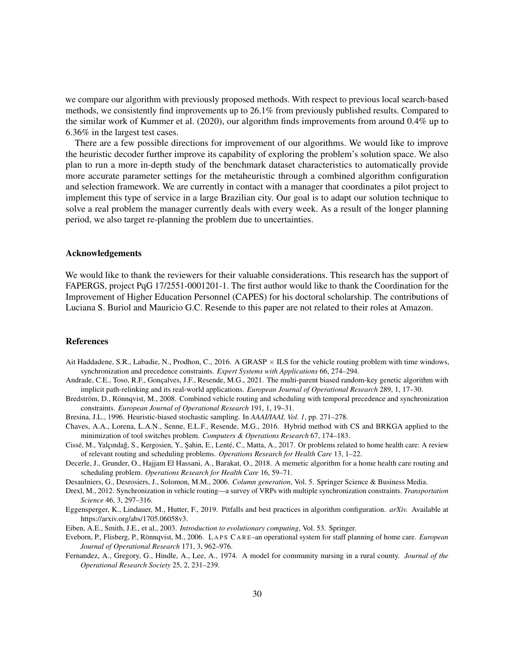we compare our algorithm with previously proposed methods. With respect to previous local search-based methods, we consistently find improvements up to 26.1% from previously published results. Compared to the similar work of [Kummer et al.](#page-30-11) [\(2020\)](#page-30-11), our algorithm finds improvements from around 0.4% up to 6.36% in the largest test cases.

There are a few possible directions for improvement of our algorithms. We would like to improve the heuristic decoder further improve its capability of exploring the problem's solution space. We also plan to run a more in-depth study of the benchmark dataset characteristics to automatically provide more accurate parameter settings for the metaheuristic through a combined algorithm configuration and selection framework. We are currently in contact with a manager that coordinates a pilot project to implement this type of service in a large Brazilian city. Our goal is to adapt our solution technique to solve a real problem the manager currently deals with every week. As a result of the longer planning period, we also target re-planning the problem due to uncertainties.

### Acknowledgements

We would like to thank the reviewers for their valuable considerations. This research has the support of FAPERGS, project PqG 17/2551-0001201-1. The first author would like to thank the Coordination for the Improvement of Higher Education Personnel (CAPES) for his doctoral scholarship. The contributions of Luciana S. Buriol and Mauricio G.C. Resende to this paper are not related to their roles at Amazon.

#### References

- <span id="page-29-7"></span>Ait Haddadene, S.R., Labadie, N., Prodhon, C., 2016. A GRASP  $\times$  ILS for the vehicle routing problem with time windows, synchronization and precedence constraints. *Expert Systems with Applications* 66, 274–294.
- <span id="page-29-8"></span>Andrade, C.E., Toso, R.F., Gonçalves, J.F., Resende, M.G., 2021. The multi-parent biased random-key genetic algorithm with implicit path-relinking and its real-world applications. *European Journal of Operational Research* 289, 1, 17–30.
- <span id="page-29-3"></span>Bredström, D., Rönnqvist, M., 2008. Combined vehicle routing and scheduling with temporal precedence and synchronization constraints. *European Journal of Operational Research* 191, 1, 19–31.
- <span id="page-29-11"></span>Bresina, J.L., 1996. Heuristic-biased stochastic sampling. In *AAAI/IAAI, Vol. 1*, pp. 271–278.
- <span id="page-29-9"></span>Chaves, A.A., Lorena, L.A.N., Senne, E.L.F., Resende, M.G., 2016. Hybrid method with CS and BRKGA applied to the minimization of tool switches problem. *Computers & Operations Research* 67, 174–183.
- <span id="page-29-2"></span>Cissé, M., Yalçındag, S., Kergosien, Y., ¸Sahin, E., Lenté, C., Matta, A., 2017. Or problems related to home health care: A review ˘ of relevant routing and scheduling problems. *Operations Research for Health Care* 13, 1–22.
- <span id="page-29-4"></span>Decerle, J., Grunder, O., Hajjam El Hassani, A., Barakat, O., 2018. A memetic algorithm for a home health care routing and scheduling problem. *Operations Research for Health Care* 16, 59–71.
- <span id="page-29-5"></span>Desaulniers, G., Desrosiers, J., Solomon, M.M., 2006. *Column generation*, Vol. 5. Springer Science & Business Media.
- <span id="page-29-6"></span>Drexl, M., 2012. Synchronization in vehicle routing—a survey of VRPs with multiple synchronization constraints. *Transportation Science* 46, 3, 297–316.
- <span id="page-29-12"></span>Eggensperger, K., Lindauer, M., Hutter, F., 2019. Pitfalls and best practices in algorithm configuration. *arXiv.* Available at [https://arxiv.org/abs/1705.06058v3.](https://arxiv.org/abs/1705.06058v3)
- <span id="page-29-10"></span>Eiben, A.E., Smith, J.E., et al., 2003. *Introduction to evolutionary computing*, Vol. 53. Springer.
- <span id="page-29-0"></span>Eveborn, P., Flisberg, P., Rönnqvist, M., 2006. L A P S C A R E–an operational system for staff planning of home care. *European Journal of Operational Research* 171, 3, 962–976.
- <span id="page-29-1"></span>Fernandez, A., Gregory, G., Hindle, A., Lee, A., 1974. A model for community nursing in a rural county. *Journal of the Operational Research Society* 25, 2, 231–239.